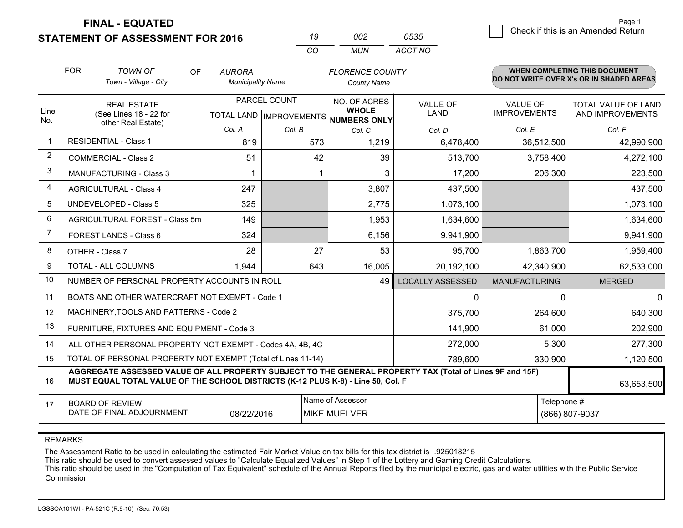**STATEMENT OF ASSESSMENT FOR 2016** 

| 19  | nn2   | 0535    |
|-----|-------|---------|
| CO. | MI IN | ACCT NO |

|                | <b>FOR</b>                                                                                                                                                                                   | <b>TOWN OF</b><br><b>OF</b>                                  | <b>AURORA</b>            |              | <b>FLORENCE COUNTY</b>                                                   |                                |                                        | WHEN COMPLETING THIS DOCUMENT                  |
|----------------|----------------------------------------------------------------------------------------------------------------------------------------------------------------------------------------------|--------------------------------------------------------------|--------------------------|--------------|--------------------------------------------------------------------------|--------------------------------|----------------------------------------|------------------------------------------------|
|                |                                                                                                                                                                                              | Town - Village - City                                        | <b>Municipality Name</b> |              | <b>County Name</b>                                                       |                                |                                        | DO NOT WRITE OVER X's OR IN SHADED AREAS       |
| Line<br>No.    | <b>REAL ESTATE</b><br>(See Lines 18 - 22 for<br>other Real Estate)                                                                                                                           |                                                              |                          | PARCEL COUNT | NO. OF ACRES<br><b>WHOLE</b><br>TOTAL LAND   IMPROVEMENTS   NUMBERS ONLY | <b>VALUE OF</b><br><b>LAND</b> | <b>VALUE OF</b><br><b>IMPROVEMENTS</b> | <b>TOTAL VALUE OF LAND</b><br>AND IMPROVEMENTS |
|                |                                                                                                                                                                                              |                                                              | Col. A                   | Col. B       | Col. C                                                                   | Col. D                         | Col. E                                 | Col. F                                         |
|                |                                                                                                                                                                                              | <b>RESIDENTIAL - Class 1</b>                                 | 819                      | 573          | 1,219                                                                    | 6,478,400                      | 36,512,500                             | 42,990,900                                     |
| 2              |                                                                                                                                                                                              | <b>COMMERCIAL - Class 2</b>                                  | 51                       | 42           | 39                                                                       | 513,700                        | 3,758,400                              | 4,272,100                                      |
| 3              |                                                                                                                                                                                              | <b>MANUFACTURING - Class 3</b>                               | 1                        | 1            | 3                                                                        | 17,200                         | 206,300                                | 223,500                                        |
| 4              |                                                                                                                                                                                              | <b>AGRICULTURAL - Class 4</b>                                | 247                      |              | 3,807                                                                    | 437,500                        |                                        | 437,500                                        |
| 5              |                                                                                                                                                                                              | <b>UNDEVELOPED - Class 5</b>                                 | 325                      |              | 2,775                                                                    | 1,073,100                      |                                        | 1,073,100                                      |
| 6              |                                                                                                                                                                                              | AGRICULTURAL FOREST - Class 5m                               | 149                      |              | 1,953                                                                    | 1,634,600                      |                                        | 1,634,600                                      |
| $\overline{7}$ |                                                                                                                                                                                              | FOREST LANDS - Class 6                                       | 324                      |              | 6,156                                                                    | 9,941,900                      |                                        | 9,941,900                                      |
| 8              |                                                                                                                                                                                              | OTHER - Class 7                                              | 28                       | 27           | 53                                                                       | 95,700                         | 1,863,700                              | 1,959,400                                      |
| 9              |                                                                                                                                                                                              | TOTAL - ALL COLUMNS                                          | 1,944                    | 643          | 16,005                                                                   | 20,192,100                     | 42,340,900                             | 62,533,000                                     |
| 10             |                                                                                                                                                                                              | NUMBER OF PERSONAL PROPERTY ACCOUNTS IN ROLL                 |                          |              | 49                                                                       | <b>LOCALLY ASSESSED</b>        | <b>MANUFACTURING</b>                   | <b>MERGED</b>                                  |
| 11             |                                                                                                                                                                                              | BOATS AND OTHER WATERCRAFT NOT EXEMPT - Code 1               |                          |              |                                                                          | 0                              | $\Omega$                               | $\mathbf{0}$                                   |
| 12             |                                                                                                                                                                                              | MACHINERY, TOOLS AND PATTERNS - Code 2                       |                          |              |                                                                          | 375,700                        | 264,600                                | 640,300                                        |
| 13             |                                                                                                                                                                                              | FURNITURE, FIXTURES AND EQUIPMENT - Code 3                   |                          |              |                                                                          | 141,900                        | 61,000                                 | 202,900                                        |
| 14             |                                                                                                                                                                                              | ALL OTHER PERSONAL PROPERTY NOT EXEMPT - Codes 4A, 4B, 4C    |                          |              |                                                                          | 272,000                        | 5,300                                  | 277,300                                        |
| 15             |                                                                                                                                                                                              | TOTAL OF PERSONAL PROPERTY NOT EXEMPT (Total of Lines 11-14) |                          |              | 789,600                                                                  | 330,900                        | 1,120,500                              |                                                |
| 16             | AGGREGATE ASSESSED VALUE OF ALL PROPERTY SUBJECT TO THE GENERAL PROPERTY TAX (Total of Lines 9F and 15F)<br>MUST EQUAL TOTAL VALUE OF THE SCHOOL DISTRICTS (K-12 PLUS K-8) - Line 50, Col. F |                                                              |                          |              |                                                                          |                                | 63,653,500                             |                                                |
| 17             | Name of Assessor<br>Telephone #<br><b>BOARD OF REVIEW</b><br>DATE OF FINAL ADJOURNMENT<br>08/22/2016<br><b>MIKE MUELVER</b><br>(866) 807-9037                                                |                                                              |                          |              |                                                                          |                                |                                        |                                                |

REMARKS

The Assessment Ratio to be used in calculating the estimated Fair Market Value on tax bills for this tax district is .925018215<br>This ratio should be used to convert assessed values to "Calculate Equalized Values" in Step 1 Commission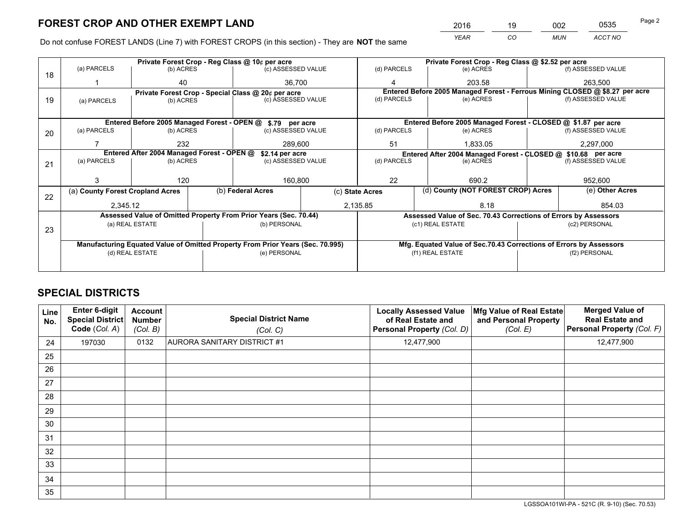*YEAR CO MUN ACCT NO* 2016 <u>19 002 0535</u> Page 2

Do not confuse FOREST LANDS (Line 7) with FOREST CROPS (in this section) - They are **NOT** the same

|    |                                                                                |                                             |  | Private Forest Crop - Reg Class @ 10¢ per acre                   |                 | Private Forest Crop - Reg Class @ \$2.52 per acre |                                                                              |                                                                    |                                                                 |  |
|----|--------------------------------------------------------------------------------|---------------------------------------------|--|------------------------------------------------------------------|-----------------|---------------------------------------------------|------------------------------------------------------------------------------|--------------------------------------------------------------------|-----------------------------------------------------------------|--|
| 18 | (a) PARCELS                                                                    | (b) ACRES                                   |  | (c) ASSESSED VALUE                                               |                 | (d) PARCELS                                       | (e) ACRES                                                                    |                                                                    | (f) ASSESSED VALUE                                              |  |
|    |                                                                                | 40                                          |  | 36.700                                                           |                 | Δ                                                 | 203.58                                                                       |                                                                    | 263,500                                                         |  |
|    |                                                                                |                                             |  | Private Forest Crop - Special Class @ 20¢ per acre               |                 |                                                   | Entered Before 2005 Managed Forest - Ferrous Mining CLOSED @ \$8.27 per acre |                                                                    |                                                                 |  |
| 19 | (a) PARCELS                                                                    | (b) ACRES                                   |  | (c) ASSESSED VALUE                                               |                 | (d) PARCELS                                       | (e) ACRES                                                                    |                                                                    | (f) ASSESSED VALUE                                              |  |
|    |                                                                                |                                             |  |                                                                  |                 |                                                   |                                                                              |                                                                    |                                                                 |  |
|    |                                                                                | Entered Before 2005 Managed Forest - OPEN @ |  | \$.79 per acre                                                   |                 |                                                   | Entered Before 2005 Managed Forest - CLOSED @ \$1.87 per acre                |                                                                    |                                                                 |  |
| 20 | (a) PARCELS                                                                    | (b) ACRES                                   |  | (c) ASSESSED VALUE                                               |                 | (d) PARCELS                                       | (e) ACRES                                                                    |                                                                    | (f) ASSESSED VALUE                                              |  |
|    |                                                                                | 232                                         |  | 289.600                                                          |                 | 51                                                | 1.833.05                                                                     |                                                                    | 2,297,000                                                       |  |
|    | Entered After 2004 Managed Forest - OPEN @<br>\$2.14 per acre                  |                                             |  |                                                                  |                 |                                                   | Entered After 2004 Managed Forest - CLOSED @ \$10.68 per acre                |                                                                    |                                                                 |  |
| 21 | (a) PARCELS                                                                    | (b) ACRES                                   |  | (c) ASSESSED VALUE                                               |                 | (d) PARCELS<br>(e) ACRES                          |                                                                              |                                                                    | (f) ASSESSED VALUE                                              |  |
|    |                                                                                |                                             |  |                                                                  |                 |                                                   |                                                                              |                                                                    |                                                                 |  |
|    |                                                                                | 120                                         |  | 160,800                                                          |                 | 22<br>690.2                                       |                                                                              |                                                                    | 952,600                                                         |  |
| 22 | (a) County Forest Cropland Acres                                               |                                             |  | (b) Federal Acres                                                | (c) State Acres |                                                   | (d) County (NOT FOREST CROP) Acres                                           |                                                                    | (e) Other Acres                                                 |  |
|    | 2,345.12                                                                       |                                             |  | 2,135.85                                                         |                 |                                                   | 8.18                                                                         |                                                                    | 854.03                                                          |  |
|    |                                                                                |                                             |  | Assessed Value of Omitted Property From Prior Years (Sec. 70.44) |                 |                                                   |                                                                              |                                                                    | Assessed Value of Sec. 70.43 Corrections of Errors by Assessors |  |
|    |                                                                                | (a) REAL ESTATE                             |  | (b) PERSONAL                                                     |                 |                                                   | (c1) REAL ESTATE                                                             |                                                                    | (c2) PERSONAL                                                   |  |
| 23 |                                                                                |                                             |  |                                                                  |                 |                                                   |                                                                              |                                                                    |                                                                 |  |
|    | Manufacturing Equated Value of Omitted Property From Prior Years (Sec. 70.995) |                                             |  |                                                                  |                 |                                                   |                                                                              | Mfg. Equated Value of Sec.70.43 Corrections of Errors by Assessors |                                                                 |  |
|    |                                                                                | (d) REAL ESTATE                             |  | (e) PERSONAL                                                     |                 | (f1) REAL ESTATE                                  |                                                                              |                                                                    | (f2) PERSONAL                                                   |  |
|    |                                                                                |                                             |  |                                                                  |                 |                                                   |                                                                              |                                                                    |                                                                 |  |

# **SPECIAL DISTRICTS**

| Line<br>No. | Enter 6-digit<br>Special District<br>Code (Col. A) | <b>Account</b><br><b>Number</b><br>(Col. B) | <b>Special District Name</b><br>(Col. C) | <b>Locally Assessed Value</b><br>of Real Estate and<br>Personal Property (Col. D) | Mfg Value of Real Estate<br>and Personal Property<br>(Col. E) | <b>Merged Value of</b><br><b>Real Estate and</b><br>Personal Property (Col. F) |
|-------------|----------------------------------------------------|---------------------------------------------|------------------------------------------|-----------------------------------------------------------------------------------|---------------------------------------------------------------|--------------------------------------------------------------------------------|
| 24          | 197030                                             | 0132                                        | <b>AURORA SANITARY DISTRICT #1</b>       | 12,477,900                                                                        |                                                               | 12,477,900                                                                     |
| 25          |                                                    |                                             |                                          |                                                                                   |                                                               |                                                                                |
| 26          |                                                    |                                             |                                          |                                                                                   |                                                               |                                                                                |
| 27          |                                                    |                                             |                                          |                                                                                   |                                                               |                                                                                |
| 28          |                                                    |                                             |                                          |                                                                                   |                                                               |                                                                                |
| 29          |                                                    |                                             |                                          |                                                                                   |                                                               |                                                                                |
| 30          |                                                    |                                             |                                          |                                                                                   |                                                               |                                                                                |
| 31          |                                                    |                                             |                                          |                                                                                   |                                                               |                                                                                |
| 32          |                                                    |                                             |                                          |                                                                                   |                                                               |                                                                                |
| 33          |                                                    |                                             |                                          |                                                                                   |                                                               |                                                                                |
| 34          |                                                    |                                             |                                          |                                                                                   |                                                               |                                                                                |
| 35          |                                                    |                                             |                                          |                                                                                   |                                                               |                                                                                |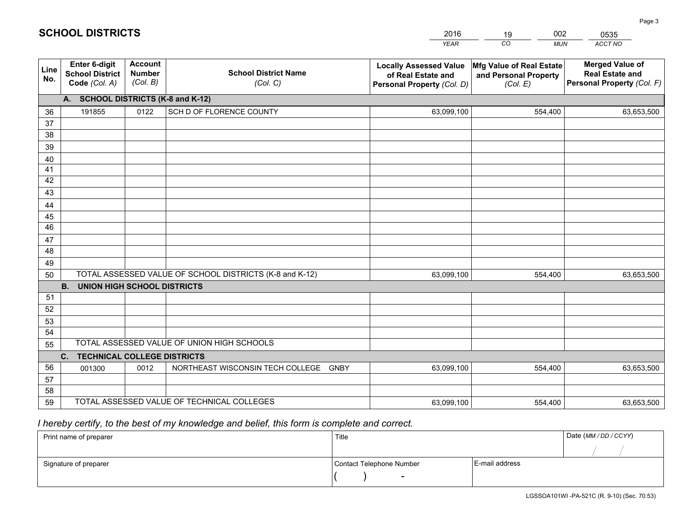|                 |                                                                 |                                             |                                                         | <b>YEAR</b>                                                                       | CO<br><b>MUN</b>                                              | ACCT NO                                                                        |
|-----------------|-----------------------------------------------------------------|---------------------------------------------|---------------------------------------------------------|-----------------------------------------------------------------------------------|---------------------------------------------------------------|--------------------------------------------------------------------------------|
| Line<br>No.     | <b>Enter 6-digit</b><br><b>School District</b><br>Code (Col. A) | <b>Account</b><br><b>Number</b><br>(Col. B) | <b>School District Name</b><br>(Col. C)                 | <b>Locally Assessed Value</b><br>of Real Estate and<br>Personal Property (Col. D) | Mfg Value of Real Estate<br>and Personal Property<br>(Col. E) | <b>Merged Value of</b><br><b>Real Estate and</b><br>Personal Property (Col. F) |
|                 | A. SCHOOL DISTRICTS (K-8 and K-12)                              |                                             |                                                         |                                                                                   |                                                               |                                                                                |
| 36              | 191855                                                          | 0122                                        | SCH D OF FLORENCE COUNTY                                | 63,099,100                                                                        | 554,400                                                       | 63,653,500                                                                     |
| 37              |                                                                 |                                             |                                                         |                                                                                   |                                                               |                                                                                |
| 38              |                                                                 |                                             |                                                         |                                                                                   |                                                               |                                                                                |
| 39              |                                                                 |                                             |                                                         |                                                                                   |                                                               |                                                                                |
| 40              |                                                                 |                                             |                                                         |                                                                                   |                                                               |                                                                                |
| 41              |                                                                 |                                             |                                                         |                                                                                   |                                                               |                                                                                |
| 42<br>43        |                                                                 |                                             |                                                         |                                                                                   |                                                               |                                                                                |
| 44              |                                                                 |                                             |                                                         |                                                                                   |                                                               |                                                                                |
| 45              |                                                                 |                                             |                                                         |                                                                                   |                                                               |                                                                                |
| $\overline{46}$ |                                                                 |                                             |                                                         |                                                                                   |                                                               |                                                                                |
| 47              |                                                                 |                                             |                                                         |                                                                                   |                                                               |                                                                                |
| 48              |                                                                 |                                             |                                                         |                                                                                   |                                                               |                                                                                |
| 49              |                                                                 |                                             |                                                         |                                                                                   |                                                               |                                                                                |
| 50              |                                                                 |                                             | TOTAL ASSESSED VALUE OF SCHOOL DISTRICTS (K-8 and K-12) | 63,099,100                                                                        | 554,400                                                       | 63,653,500                                                                     |
|                 | <b>B.</b><br><b>UNION HIGH SCHOOL DISTRICTS</b>                 |                                             |                                                         |                                                                                   |                                                               |                                                                                |
| 51              |                                                                 |                                             |                                                         |                                                                                   |                                                               |                                                                                |
| 52              |                                                                 |                                             |                                                         |                                                                                   |                                                               |                                                                                |
| 53              |                                                                 |                                             |                                                         |                                                                                   |                                                               |                                                                                |
| 54              |                                                                 |                                             |                                                         |                                                                                   |                                                               |                                                                                |
| 55              |                                                                 |                                             | TOTAL ASSESSED VALUE OF UNION HIGH SCHOOLS              |                                                                                   |                                                               |                                                                                |
|                 | C.<br><b>TECHNICAL COLLEGE DISTRICTS</b>                        |                                             |                                                         |                                                                                   |                                                               |                                                                                |
| 56              | 001300                                                          | 0012                                        | NORTHEAST WISCONSIN TECH COLLEGE<br><b>GNBY</b>         | 63,099,100                                                                        | 554,400                                                       | 63,653,500                                                                     |
| 57<br>58        |                                                                 |                                             |                                                         |                                                                                   |                                                               |                                                                                |
| 59              |                                                                 |                                             | TOTAL ASSESSED VALUE OF TECHNICAL COLLEGES              | 63,099,100                                                                        | 554,400                                                       | 63,653,500                                                                     |
|                 |                                                                 |                                             |                                                         |                                                                                   |                                                               |                                                                                |

# *I hereby certify, to the best of my knowledge and belief, this form is complete and correct.*

| Print name of preparer | Title                    |                | Date (MM / DD / CCYY) |
|------------------------|--------------------------|----------------|-----------------------|
|                        |                          |                |                       |
| Signature of preparer  | Contact Telephone Number | E-mail address |                       |
|                        | $\overline{\phantom{0}}$ |                |                       |

#### 2016190020535

**SCHOOL DISTRICTS**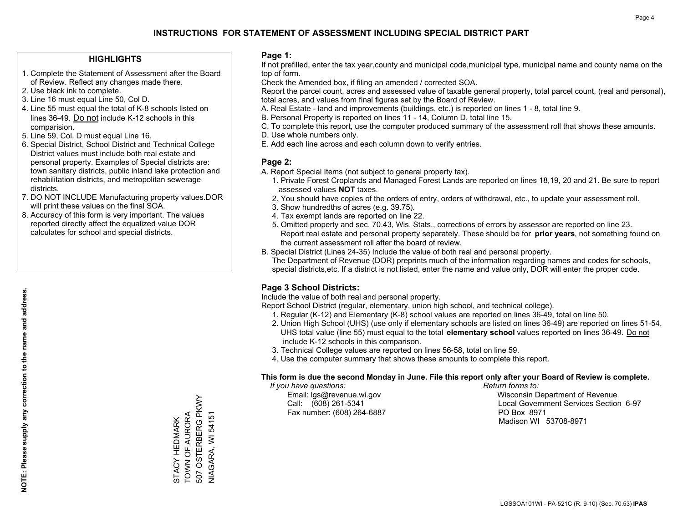### **HIGHLIGHTS**

- 1. Complete the Statement of Assessment after the Board of Review. Reflect any changes made there.
- 2. Use black ink to complete.
- 3. Line 16 must equal Line 50, Col D.
- 4. Line 55 must equal the total of K-8 schools listed on lines 36-49. Do not include K-12 schools in this comparision.
- 5. Line 59, Col. D must equal Line 16.
- 6. Special District, School District and Technical College District values must include both real estate and personal property. Examples of Special districts are: town sanitary districts, public inland lake protection and rehabilitation districts, and metropolitan sewerage districts.
- 7. DO NOT INCLUDE Manufacturing property values.DOR will print these values on the final SOA.

STACY HEDMARK TOWN OF AURORA 507 OSTERBERG PKWY NIAGARA, WI 54151

STACY HEDMARK<br>TOWN OF AURORA

507 OSTERBERG PKWY

**VIAGARA, WI 54151** 

 8. Accuracy of this form is very important. The values reported directly affect the equalized value DOR calculates for school and special districts.

#### **Page 1:**

 If not prefilled, enter the tax year,county and municipal code,municipal type, municipal name and county name on the top of form.

Check the Amended box, if filing an amended / corrected SOA.

 Report the parcel count, acres and assessed value of taxable general property, total parcel count, (real and personal), total acres, and values from final figures set by the Board of Review.

- A. Real Estate land and improvements (buildings, etc.) is reported on lines 1 8, total line 9.
- B. Personal Property is reported on lines 11 14, Column D, total line 15.
- C. To complete this report, use the computer produced summary of the assessment roll that shows these amounts.
- D. Use whole numbers only.
- E. Add each line across and each column down to verify entries.

### **Page 2:**

- A. Report Special Items (not subject to general property tax).
- 1. Private Forest Croplands and Managed Forest Lands are reported on lines 18,19, 20 and 21. Be sure to report assessed values **NOT** taxes.
- 2. You should have copies of the orders of entry, orders of withdrawal, etc., to update your assessment roll.
	- 3. Show hundredths of acres (e.g. 39.75).
- 4. Tax exempt lands are reported on line 22.
- 5. Omitted property and sec. 70.43, Wis. Stats., corrections of errors by assessor are reported on line 23. Report real estate and personal property separately. These should be for **prior years**, not something found on the current assessment roll after the board of review.
- B. Special District (Lines 24-35) Include the value of both real and personal property.

 The Department of Revenue (DOR) preprints much of the information regarding names and codes for schools, special districts,etc. If a district is not listed, enter the name and value only, DOR will enter the proper code.

### **Page 3 School Districts:**

Include the value of both real and personal property.

Report School District (regular, elementary, union high school, and technical college).

- 1. Regular (K-12) and Elementary (K-8) school values are reported on lines 36-49, total on line 50.
- 2. Union High School (UHS) (use only if elementary schools are listed on lines 36-49) are reported on lines 51-54. UHS total value (line 55) must equal to the total **elementary school** values reported on lines 36-49. Do notinclude K-12 schools in this comparison.
- 3. Technical College values are reported on lines 56-58, total on line 59.
- 4. Use the computer summary that shows these amounts to complete this report.

#### **This form is due the second Monday in June. File this report only after your Board of Review is complete.**

 *If you have questions: Return forms to:*

Fax number: (608) 264-6887 PO Box 8971

 Email: lgs@revenue.wi.gov Wisconsin Department of Revenue Call: (608) 261-5341 Local Government Services Section 6-97Madison WI 53708-8971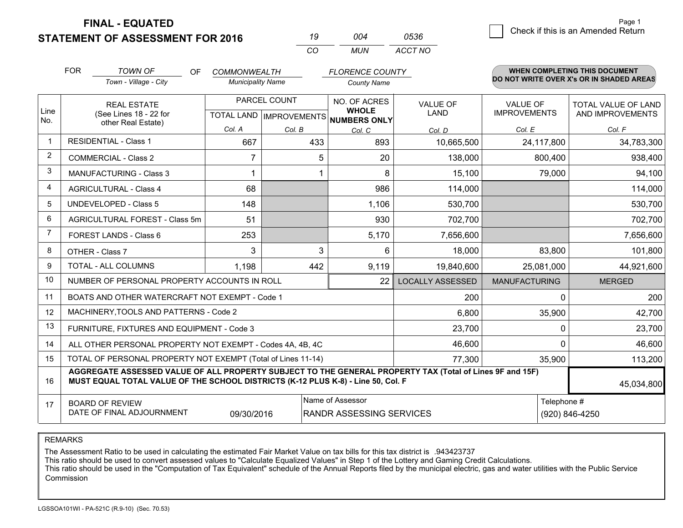**STATEMENT OF ASSESSMENT FOR 2016** 

**FINAL - EQUATED**

| 19 | በበ4 | 0536    |
|----|-----|---------|
| CО | MUN | ACCT NO |

|                | <b>FOR</b><br><b>TOWN OF</b><br><b>COMMONWEALTH</b><br><b>OF</b>                                                                                                                             |                                                              |                          | <b>FLORENCE COUNTY</b> |                                          |                                | WHEN COMPLETING THIS DOCUMENT<br>DO NOT WRITE OVER X's OR IN SHADED AREAS |                                         |  |
|----------------|----------------------------------------------------------------------------------------------------------------------------------------------------------------------------------------------|--------------------------------------------------------------|--------------------------|------------------------|------------------------------------------|--------------------------------|---------------------------------------------------------------------------|-----------------------------------------|--|
|                |                                                                                                                                                                                              | Town - Village - City                                        | <b>Municipality Name</b> |                        | <b>County Name</b>                       |                                |                                                                           |                                         |  |
| Line           |                                                                                                                                                                                              | <b>REAL ESTATE</b><br>(See Lines 18 - 22 for                 | PARCEL COUNT             |                        | NO. OF ACRES<br><b>WHOLE</b>             | <b>VALUE OF</b><br><b>LAND</b> | <b>VALUE OF</b><br><b>IMPROVEMENTS</b>                                    | TOTAL VALUE OF LAND<br>AND IMPROVEMENTS |  |
| No.            |                                                                                                                                                                                              | other Real Estate)                                           |                          |                        | TOTAL LAND   IMPROVEMENTS   NUMBERS ONLY |                                |                                                                           |                                         |  |
| $\mathbf 1$    | <b>RESIDENTIAL - Class 1</b>                                                                                                                                                                 |                                                              | Col. A<br>667            | Col. B<br>433          | Col. C<br>893                            | Col. D<br>10,665,500           | Col. E<br>24,117,800                                                      | Col. F<br>34,783,300                    |  |
| 2              |                                                                                                                                                                                              |                                                              |                          |                        |                                          |                                |                                                                           |                                         |  |
|                |                                                                                                                                                                                              | <b>COMMERCIAL - Class 2</b>                                  | 7                        | 5                      | 20                                       | 138,000                        | 800,400                                                                   | 938,400                                 |  |
| 3              |                                                                                                                                                                                              | <b>MANUFACTURING - Class 3</b>                               | 1                        |                        | 8                                        | 15,100                         | 79,000                                                                    | 94,100                                  |  |
| $\overline{4}$ |                                                                                                                                                                                              | <b>AGRICULTURAL - Class 4</b>                                | 68                       |                        | 986                                      | 114,000                        |                                                                           | 114,000                                 |  |
| 5              |                                                                                                                                                                                              | <b>UNDEVELOPED - Class 5</b>                                 | 148                      |                        | 1,106                                    | 530,700                        |                                                                           | 530,700                                 |  |
| 6              | AGRICULTURAL FOREST - Class 5m                                                                                                                                                               |                                                              | 51                       |                        | 930                                      | 702,700                        |                                                                           | 702,700                                 |  |
| $\overline{7}$ |                                                                                                                                                                                              | <b>FOREST LANDS - Class 6</b>                                | 253                      |                        | 5,170                                    | 7,656,600                      |                                                                           | 7,656,600                               |  |
| 8              |                                                                                                                                                                                              | OTHER - Class 7                                              | 3                        | 3                      | 6                                        | 18,000                         | 83,800                                                                    | 101,800                                 |  |
| 9              |                                                                                                                                                                                              | TOTAL - ALL COLUMNS                                          | 1,198                    | 442                    | 9,119                                    | 19,840,600                     | 25,081,000                                                                | 44,921,600                              |  |
| 10             |                                                                                                                                                                                              | NUMBER OF PERSONAL PROPERTY ACCOUNTS IN ROLL                 |                          |                        | 22                                       | <b>LOCALLY ASSESSED</b>        | <b>MANUFACTURING</b>                                                      | <b>MERGED</b>                           |  |
| 11             |                                                                                                                                                                                              | BOATS AND OTHER WATERCRAFT NOT EXEMPT - Code 1               |                          |                        |                                          | 200                            | 0                                                                         | 200                                     |  |
| 12             |                                                                                                                                                                                              | MACHINERY, TOOLS AND PATTERNS - Code 2                       |                          |                        |                                          | 6,800                          | 35,900                                                                    | 42,700                                  |  |
| 13             |                                                                                                                                                                                              | FURNITURE, FIXTURES AND EQUIPMENT - Code 3                   |                          |                        |                                          | 23,700                         | $\mathbf 0$                                                               | 23,700                                  |  |
| 14             |                                                                                                                                                                                              | ALL OTHER PERSONAL PROPERTY NOT EXEMPT - Codes 4A, 4B, 4C    |                          |                        |                                          | 46,600                         | $\Omega$                                                                  | 46,600                                  |  |
| 15             |                                                                                                                                                                                              | TOTAL OF PERSONAL PROPERTY NOT EXEMPT (Total of Lines 11-14) |                          |                        | 77,300                                   | 35,900                         | 113,200                                                                   |                                         |  |
| 16             | AGGREGATE ASSESSED VALUE OF ALL PROPERTY SUBJECT TO THE GENERAL PROPERTY TAX (Total of Lines 9F and 15F)<br>MUST EQUAL TOTAL VALUE OF THE SCHOOL DISTRICTS (K-12 PLUS K-8) - Line 50, Col. F |                                                              |                          |                        |                                          |                                | 45,034,800                                                                |                                         |  |
| 17             |                                                                                                                                                                                              | <b>BOARD OF REVIEW</b>                                       |                          |                        | Name of Assessor                         |                                | Telephone #                                                               |                                         |  |
|                |                                                                                                                                                                                              | DATE OF FINAL ADJOURNMENT                                    | 09/30/2016               |                        | RANDR ASSESSING SERVICES                 |                                |                                                                           | (920) 846-4250                          |  |

REMARKS

The Assessment Ratio to be used in calculating the estimated Fair Market Value on tax bills for this tax district is .943423737

This ratio should be used to convert assessed values to "Calculate Equalized Values" in Step 1 of the Lottery and Gaming Credit Calculations.<br>This ratio should be used in the "Computation of Tax Equivalent" schedule of the Commission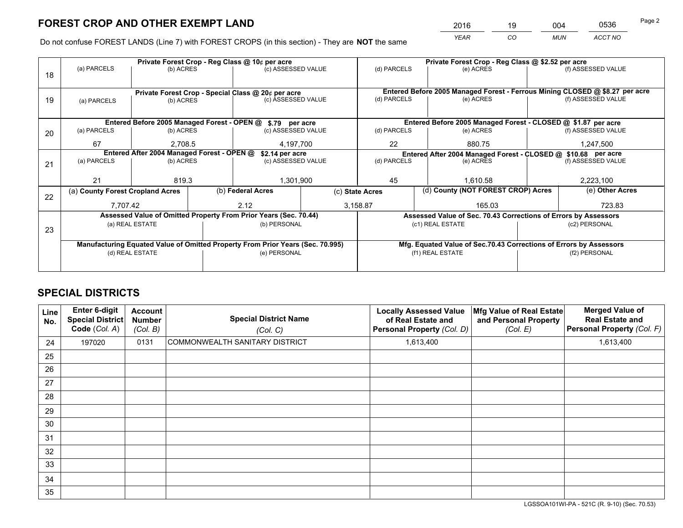*YEAR CO MUN ACCT NO* 2016 <u>19 004 0536</u>

Do not confuse FOREST LANDS (Line 7) with FOREST CROPS (in this section) - They are **NOT** the same

|    |                                                                                |                 |  | Private Forest Crop - Reg Class @ 10¢ per acre                   |                 | Private Forest Crop - Reg Class @ \$2.52 per acre             |                                                                              |                                                                    |                    |  |
|----|--------------------------------------------------------------------------------|-----------------|--|------------------------------------------------------------------|-----------------|---------------------------------------------------------------|------------------------------------------------------------------------------|--------------------------------------------------------------------|--------------------|--|
| 18 | (a) PARCELS                                                                    | (b) ACRES       |  | (c) ASSESSED VALUE                                               |                 | (d) PARCELS                                                   | (e) ACRES                                                                    |                                                                    | (f) ASSESSED VALUE |  |
|    |                                                                                |                 |  |                                                                  |                 |                                                               |                                                                              |                                                                    |                    |  |
|    |                                                                                |                 |  | Private Forest Crop - Special Class @ 20¢ per acre               |                 |                                                               | Entered Before 2005 Managed Forest - Ferrous Mining CLOSED @ \$8.27 per acre |                                                                    |                    |  |
| 19 | (a) PARCELS                                                                    | (b) ACRES       |  | (c) ASSESSED VALUE                                               |                 | (d) PARCELS                                                   | (e) ACRES                                                                    |                                                                    | (f) ASSESSED VALUE |  |
|    |                                                                                |                 |  |                                                                  |                 |                                                               |                                                                              |                                                                    |                    |  |
|    |                                                                                |                 |  | Entered Before 2005 Managed Forest - OPEN @ \$.79 per acre       |                 |                                                               | Entered Before 2005 Managed Forest - CLOSED @ \$1.87 per acre                |                                                                    |                    |  |
| 20 | (a) PARCELS                                                                    | (b) ACRES       |  | (c) ASSESSED VALUE                                               |                 | (d) PARCELS                                                   | (e) ACRES                                                                    |                                                                    | (f) ASSESSED VALUE |  |
|    | 67                                                                             | 2.708.5         |  | 4,197,700                                                        |                 | 22                                                            | 880.75                                                                       |                                                                    | 1,247,500          |  |
|    | Entered After 2004 Managed Forest - OPEN @                                     |                 |  | \$2.14 per acre                                                  |                 | Entered After 2004 Managed Forest - CLOSED @ \$10.68 per acre |                                                                              |                                                                    |                    |  |
| 21 | (a) PARCELS                                                                    | (b) ACRES       |  | (c) ASSESSED VALUE                                               |                 | (d) PARCELS                                                   | (e) ACRES                                                                    |                                                                    |                    |  |
|    |                                                                                |                 |  |                                                                  |                 |                                                               |                                                                              |                                                                    |                    |  |
|    | 21                                                                             | 819.3           |  | 1,301,900                                                        |                 | 45<br>1.610.58                                                |                                                                              |                                                                    | 2,223,100          |  |
| 22 | (a) County Forest Cropland Acres                                               |                 |  | (b) Federal Acres                                                | (c) State Acres |                                                               | (d) County (NOT FOREST CROP) Acres                                           |                                                                    | (e) Other Acres    |  |
|    | 7,707.42                                                                       |                 |  | 2.12                                                             |                 | 3,158.87                                                      | 165.03                                                                       |                                                                    | 723.83             |  |
|    |                                                                                |                 |  | Assessed Value of Omitted Property From Prior Years (Sec. 70.44) |                 |                                                               | Assessed Value of Sec. 70.43 Corrections of Errors by Assessors              |                                                                    |                    |  |
| 23 |                                                                                | (a) REAL ESTATE |  | (b) PERSONAL                                                     |                 |                                                               | (c1) REAL ESTATE                                                             |                                                                    | (c2) PERSONAL      |  |
|    |                                                                                |                 |  |                                                                  |                 |                                                               |                                                                              |                                                                    |                    |  |
|    | Manufacturing Equated Value of Omitted Property From Prior Years (Sec. 70.995) |                 |  |                                                                  |                 |                                                               |                                                                              | Mfg. Equated Value of Sec.70.43 Corrections of Errors by Assessors |                    |  |
|    |                                                                                | (d) REAL ESTATE |  | (e) PERSONAL                                                     |                 | (f1) REAL ESTATE                                              |                                                                              |                                                                    | (f2) PERSONAL      |  |
|    |                                                                                |                 |  |                                                                  |                 |                                                               |                                                                              |                                                                    |                    |  |

# **SPECIAL DISTRICTS**

| Line<br>No. | <b>Enter 6-digit</b><br><b>Special District</b><br>Code (Col. A) | Account<br><b>Number</b><br>(Col. B) | <b>Special District Name</b><br>(Col. C) | <b>Locally Assessed Value</b><br>of Real Estate and<br>Personal Property (Col. D) | Mfg Value of Real Estate<br>and Personal Property<br>(Col. E) | <b>Merged Value of</b><br><b>Real Estate and</b><br>Personal Property (Col. F) |
|-------------|------------------------------------------------------------------|--------------------------------------|------------------------------------------|-----------------------------------------------------------------------------------|---------------------------------------------------------------|--------------------------------------------------------------------------------|
| 24          | 197020                                                           | 0131                                 | COMMONWEALTH SANITARY DISTRICT           | 1,613,400                                                                         |                                                               | 1,613,400                                                                      |
| 25          |                                                                  |                                      |                                          |                                                                                   |                                                               |                                                                                |
| 26          |                                                                  |                                      |                                          |                                                                                   |                                                               |                                                                                |
| 27          |                                                                  |                                      |                                          |                                                                                   |                                                               |                                                                                |
| 28          |                                                                  |                                      |                                          |                                                                                   |                                                               |                                                                                |
| 29          |                                                                  |                                      |                                          |                                                                                   |                                                               |                                                                                |
| 30          |                                                                  |                                      |                                          |                                                                                   |                                                               |                                                                                |
| 31          |                                                                  |                                      |                                          |                                                                                   |                                                               |                                                                                |
| 32          |                                                                  |                                      |                                          |                                                                                   |                                                               |                                                                                |
| 33          |                                                                  |                                      |                                          |                                                                                   |                                                               |                                                                                |
| 34          |                                                                  |                                      |                                          |                                                                                   |                                                               |                                                                                |
| 35          |                                                                  |                                      |                                          |                                                                                   |                                                               |                                                                                |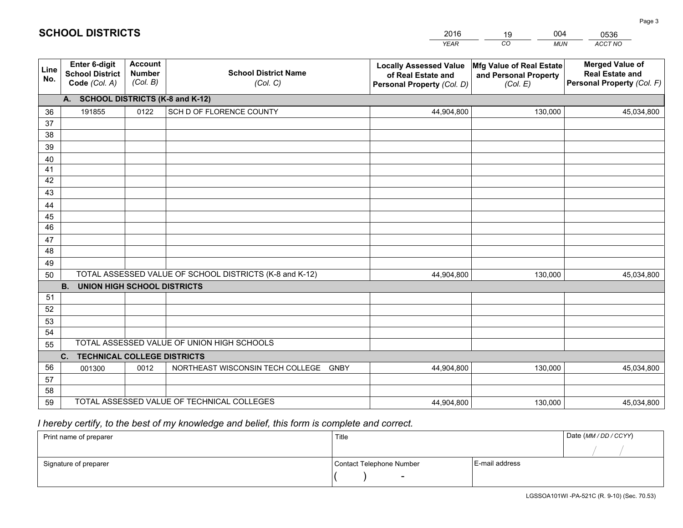|             |                                                                 |                                             |                                                         | <b>YEAR</b>                                                                       | CO<br><b>MUN</b>                                              | <b>ACCT NO</b>                                                                 |
|-------------|-----------------------------------------------------------------|---------------------------------------------|---------------------------------------------------------|-----------------------------------------------------------------------------------|---------------------------------------------------------------|--------------------------------------------------------------------------------|
| Line<br>No. | <b>Enter 6-digit</b><br><b>School District</b><br>Code (Col. A) | <b>Account</b><br><b>Number</b><br>(Col. B) | <b>School District Name</b><br>(Col. C)                 | <b>Locally Assessed Value</b><br>of Real Estate and<br>Personal Property (Col. D) | Mfg Value of Real Estate<br>and Personal Property<br>(Col. E) | <b>Merged Value of</b><br><b>Real Estate and</b><br>Personal Property (Col. F) |
|             | A. SCHOOL DISTRICTS (K-8 and K-12)                              |                                             |                                                         |                                                                                   |                                                               |                                                                                |
| 36          | 191855                                                          | 0122                                        | SCH D OF FLORENCE COUNTY                                | 44,904,800                                                                        | 130,000                                                       | 45,034,800                                                                     |
| 37          |                                                                 |                                             |                                                         |                                                                                   |                                                               |                                                                                |
| 38          |                                                                 |                                             |                                                         |                                                                                   |                                                               |                                                                                |
| 39          |                                                                 |                                             |                                                         |                                                                                   |                                                               |                                                                                |
| 40          |                                                                 |                                             |                                                         |                                                                                   |                                                               |                                                                                |
| 41<br>42    |                                                                 |                                             |                                                         |                                                                                   |                                                               |                                                                                |
| 43          |                                                                 |                                             |                                                         |                                                                                   |                                                               |                                                                                |
| 44          |                                                                 |                                             |                                                         |                                                                                   |                                                               |                                                                                |
| 45          |                                                                 |                                             |                                                         |                                                                                   |                                                               |                                                                                |
| 46          |                                                                 |                                             |                                                         |                                                                                   |                                                               |                                                                                |
| 47          |                                                                 |                                             |                                                         |                                                                                   |                                                               |                                                                                |
| 48          |                                                                 |                                             |                                                         |                                                                                   |                                                               |                                                                                |
| 49          |                                                                 |                                             |                                                         |                                                                                   |                                                               |                                                                                |
| 50          |                                                                 |                                             | TOTAL ASSESSED VALUE OF SCHOOL DISTRICTS (K-8 and K-12) | 44,904,800                                                                        | 130,000                                                       | 45,034,800                                                                     |
|             | <b>B.</b><br><b>UNION HIGH SCHOOL DISTRICTS</b>                 |                                             |                                                         |                                                                                   |                                                               |                                                                                |
| 51          |                                                                 |                                             |                                                         |                                                                                   |                                                               |                                                                                |
| 52          |                                                                 |                                             |                                                         |                                                                                   |                                                               |                                                                                |
| 53          |                                                                 |                                             |                                                         |                                                                                   |                                                               |                                                                                |
| 54          |                                                                 |                                             | TOTAL ASSESSED VALUE OF UNION HIGH SCHOOLS              |                                                                                   |                                                               |                                                                                |
| 55          |                                                                 |                                             |                                                         |                                                                                   |                                                               |                                                                                |
| 56          | C.<br><b>TECHNICAL COLLEGE DISTRICTS</b><br>001300              | 0012                                        | NORTHEAST WISCONSIN TECH COLLEGE<br><b>GNBY</b>         | 44,904,800                                                                        | 130,000                                                       | 45,034,800                                                                     |
| 57          |                                                                 |                                             |                                                         |                                                                                   |                                                               |                                                                                |
| 58          |                                                                 |                                             |                                                         |                                                                                   |                                                               |                                                                                |
| 59          |                                                                 |                                             | TOTAL ASSESSED VALUE OF TECHNICAL COLLEGES              | 44,904,800                                                                        | 130,000                                                       | 45,034,800                                                                     |

2016

19

004

# *I hereby certify, to the best of my knowledge and belief, this form is complete and correct.*

**SCHOOL DISTRICTS**

| Print name of preparer | Title                    |                | Date (MM / DD / CCYY) |
|------------------------|--------------------------|----------------|-----------------------|
|                        |                          |                |                       |
| Signature of preparer  | Contact Telephone Number | E-mail address |                       |
|                        | $\sim$                   |                |                       |

0536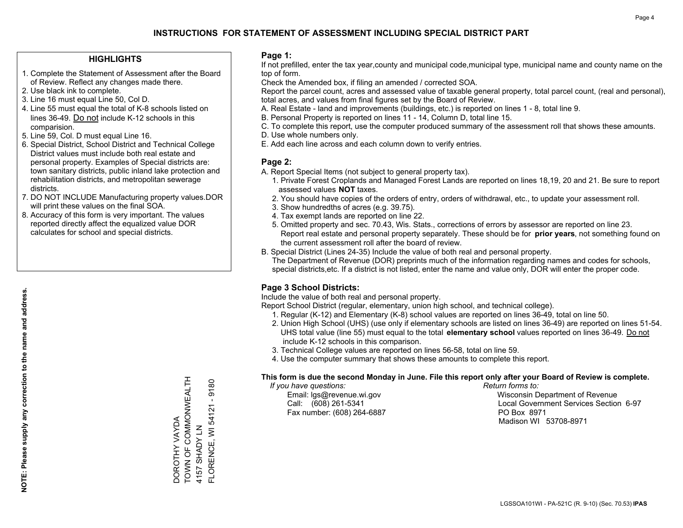### **HIGHLIGHTS**

- 1. Complete the Statement of Assessment after the Board of Review. Reflect any changes made there.
- 2. Use black ink to complete.
- 3. Line 16 must equal Line 50, Col D.
- 4. Line 55 must equal the total of K-8 schools listed on lines 36-49. Do not include K-12 schools in this comparision.
- 5. Line 59, Col. D must equal Line 16.
- 6. Special District, School District and Technical College District values must include both real estate and personal property. Examples of Special districts are: town sanitary districts, public inland lake protection and rehabilitation districts, and metropolitan sewerage districts.
- 7. DO NOT INCLUDE Manufacturing property values.DOR will print these values on the final SOA.

DOROTHY VAYDA

TOWN OF COMMONWEALTH

DOROTHY VAYDA<br>TOWN OF COMMONWEALTH

4157 SHADY LN

FLORENCE, WI 54121 - 9180

FLORENCE, WI 54121 4157 SHADY LN

9180

 8. Accuracy of this form is very important. The values reported directly affect the equalized value DOR calculates for school and special districts.

#### **Page 1:**

 If not prefilled, enter the tax year,county and municipal code,municipal type, municipal name and county name on the top of form.

Check the Amended box, if filing an amended / corrected SOA.

 Report the parcel count, acres and assessed value of taxable general property, total parcel count, (real and personal), total acres, and values from final figures set by the Board of Review.

- A. Real Estate land and improvements (buildings, etc.) is reported on lines 1 8, total line 9.
- B. Personal Property is reported on lines 11 14, Column D, total line 15.
- C. To complete this report, use the computer produced summary of the assessment roll that shows these amounts.
- D. Use whole numbers only.
- E. Add each line across and each column down to verify entries.

### **Page 2:**

- A. Report Special Items (not subject to general property tax).
- 1. Private Forest Croplands and Managed Forest Lands are reported on lines 18,19, 20 and 21. Be sure to report assessed values **NOT** taxes.
- 2. You should have copies of the orders of entry, orders of withdrawal, etc., to update your assessment roll.
	- 3. Show hundredths of acres (e.g. 39.75).
- 4. Tax exempt lands are reported on line 22.
- 5. Omitted property and sec. 70.43, Wis. Stats., corrections of errors by assessor are reported on line 23. Report real estate and personal property separately. These should be for **prior years**, not something found on the current assessment roll after the board of review.
- B. Special District (Lines 24-35) Include the value of both real and personal property.

 The Department of Revenue (DOR) preprints much of the information regarding names and codes for schools, special districts,etc. If a district is not listed, enter the name and value only, DOR will enter the proper code.

### **Page 3 School Districts:**

Include the value of both real and personal property.

Report School District (regular, elementary, union high school, and technical college).

- 1. Regular (K-12) and Elementary (K-8) school values are reported on lines 36-49, total on line 50.
- 2. Union High School (UHS) (use only if elementary schools are listed on lines 36-49) are reported on lines 51-54. UHS total value (line 55) must equal to the total **elementary school** values reported on lines 36-49. Do notinclude K-12 schools in this comparison.
- 3. Technical College values are reported on lines 56-58, total on line 59.
- 4. Use the computer summary that shows these amounts to complete this report.

#### **This form is due the second Monday in June. File this report only after your Board of Review is complete.**

 *If you have questions: Return forms to:*

Fax number: (608) 264-6887 PO Box 8971

 Email: lgs@revenue.wi.gov Wisconsin Department of Revenue Call: (608) 261-5341 Local Government Services Section 6-97Madison WI 53708-8971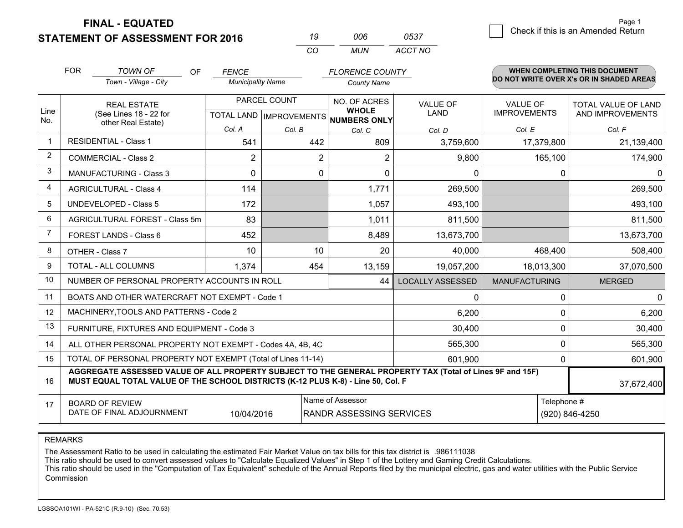**STATEMENT OF ASSESSMENT FOR 2016** 

| 19  | ററഞ | 0537    |
|-----|-----|---------|
| CO. | MUN | ACCT NO |

|                | <b>FOR</b><br><b>TOWN OF</b><br><b>OF</b><br>Town - Village - City                                                                                                                           | <b>FENCE</b><br><b>Municipality Name</b> |                                           | <b>FLORENCE COUNTY</b><br><b>County Name</b> |                         |                                        | <b>WHEN COMPLETING THIS DOCUMENT</b><br>DO NOT WRITE OVER X's OR IN SHADED AREAS |
|----------------|----------------------------------------------------------------------------------------------------------------------------------------------------------------------------------------------|------------------------------------------|-------------------------------------------|----------------------------------------------|-------------------------|----------------------------------------|----------------------------------------------------------------------------------|
| Line<br>No.    | <b>REAL ESTATE</b><br>(See Lines 18 - 22 for<br>other Real Estate)                                                                                                                           |                                          | PARCEL COUNT<br>TOTAL LAND   IMPROVEMENTS |                                              | <b>VALUE OF</b><br>LAND | <b>VALUE OF</b><br><b>IMPROVEMENTS</b> | TOTAL VALUE OF LAND<br>AND IMPROVEMENTS                                          |
|                |                                                                                                                                                                                              | Col. A                                   | Col. B                                    | Col. C                                       | Col. D                  | Col. E                                 | Col. F                                                                           |
| $\overline{1}$ | <b>RESIDENTIAL - Class 1</b>                                                                                                                                                                 | 541                                      | 442                                       | 809                                          | 3,759,600               | 17,379,800                             | 21,139,400                                                                       |
| 2              | <b>COMMERCIAL - Class 2</b>                                                                                                                                                                  | $\overline{2}$                           | $\overline{2}$                            | $\overline{2}$                               | 9,800                   | 165,100                                | 174,900                                                                          |
| 3              | <b>MANUFACTURING - Class 3</b>                                                                                                                                                               | $\Omega$                                 | 0                                         | $\mathbf{0}$                                 | 0                       | 0                                      | $\overline{0}$                                                                   |
| 4              | <b>AGRICULTURAL - Class 4</b>                                                                                                                                                                | 114                                      |                                           | 1,771                                        | 269,500                 |                                        | 269,500                                                                          |
| 5              | UNDEVELOPED - Class 5                                                                                                                                                                        | 172                                      |                                           | 1,057                                        | 493,100                 |                                        | 493,100                                                                          |
| 6              | AGRICULTURAL FOREST - Class 5m                                                                                                                                                               | 83                                       |                                           | 1,011                                        | 811,500                 |                                        | 811,500                                                                          |
| $\overline{7}$ | FOREST LANDS - Class 6                                                                                                                                                                       | 452                                      |                                           | 8,489                                        | 13,673,700              |                                        | 13,673,700                                                                       |
| 8              | OTHER - Class 7                                                                                                                                                                              | 10                                       | 10                                        | 20                                           | 40,000                  | 468,400                                | 508,400                                                                          |
| 9              | TOTAL - ALL COLUMNS                                                                                                                                                                          | 1,374                                    | 454                                       | 13,159                                       | 19,057,200              | 18,013,300                             | 37,070,500                                                                       |
| 10             | NUMBER OF PERSONAL PROPERTY ACCOUNTS IN ROLL                                                                                                                                                 |                                          |                                           | 44                                           | <b>LOCALLY ASSESSED</b> | <b>MANUFACTURING</b>                   | <b>MERGED</b>                                                                    |
| 11             | BOATS AND OTHER WATERCRAFT NOT EXEMPT - Code 1                                                                                                                                               |                                          |                                           |                                              | 0                       | 0                                      | $\overline{0}$                                                                   |
| 12             | MACHINERY, TOOLS AND PATTERNS - Code 2                                                                                                                                                       |                                          |                                           |                                              | 6,200                   | 0                                      | 6,200                                                                            |
| 13             | FURNITURE, FIXTURES AND EQUIPMENT - Code 3                                                                                                                                                   |                                          |                                           |                                              | 30,400                  | 0                                      | 30,400                                                                           |
| 14             | ALL OTHER PERSONAL PROPERTY NOT EXEMPT - Codes 4A, 4B, 4C                                                                                                                                    |                                          |                                           |                                              | 565,300                 | 0                                      | 565,300                                                                          |
| 15             | TOTAL OF PERSONAL PROPERTY NOT EXEMPT (Total of Lines 11-14)                                                                                                                                 |                                          |                                           |                                              | 601,900                 | 0                                      | 601,900                                                                          |
| 16             | AGGREGATE ASSESSED VALUE OF ALL PROPERTY SUBJECT TO THE GENERAL PROPERTY TAX (Total of Lines 9F and 15F)<br>MUST EQUAL TOTAL VALUE OF THE SCHOOL DISTRICTS (K-12 PLUS K-8) - Line 50, Col. F |                                          |                                           |                                              |                         |                                        |                                                                                  |
| 17             | Name of Assessor<br>Telephone #<br><b>BOARD OF REVIEW</b><br>DATE OF FINAL ADJOURNMENT<br>(920) 846-4250<br>10/04/2016<br><b>RANDR ASSESSING SERVICES</b>                                    |                                          |                                           |                                              |                         |                                        |                                                                                  |

REMARKS

The Assessment Ratio to be used in calculating the estimated Fair Market Value on tax bills for this tax district is .986111038

This ratio should be used to convert assessed values to "Calculate Equalized Values" in Step 1 of the Lottery and Gaming Credit Calculations.<br>This ratio should be used in the "Computation of Tax Equivalent" schedule of the **Commission**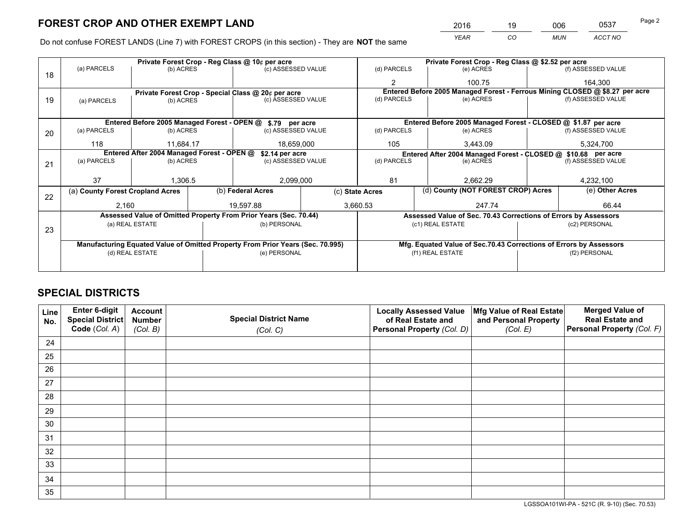*YEAR CO MUN ACCT NO* 2016 <u>19 006</u> 0537 Page 2

Do not confuse FOREST LANDS (Line 7) with FOREST CROPS (in this section) - They are **NOT** the same

|    |                                                                                |                 |  | Private Forest Crop - Reg Class @ 10¢ per acre                   | Private Forest Crop - Reg Class @ \$2.52 per acre |                                                               |  |                                                                    |  |                                                                              |  |
|----|--------------------------------------------------------------------------------|-----------------|--|------------------------------------------------------------------|---------------------------------------------------|---------------------------------------------------------------|--|--------------------------------------------------------------------|--|------------------------------------------------------------------------------|--|
| 18 | (a) PARCELS                                                                    | (b) ACRES       |  | (c) ASSESSED VALUE                                               |                                                   | (d) PARCELS                                                   |  | (e) ACRES                                                          |  | (f) ASSESSED VALUE                                                           |  |
|    |                                                                                |                 |  |                                                                  |                                                   | $\mathfrak{p}$                                                |  | 100.75                                                             |  | 164,300                                                                      |  |
|    |                                                                                |                 |  | Private Forest Crop - Special Class @ 20¢ per acre               |                                                   |                                                               |  |                                                                    |  | Entered Before 2005 Managed Forest - Ferrous Mining CLOSED @ \$8.27 per acre |  |
| 19 | (a) PARCELS                                                                    | (b) ACRES       |  | (c) ASSESSED VALUE                                               |                                                   | (d) PARCELS                                                   |  | (e) ACRES                                                          |  | (f) ASSESSED VALUE                                                           |  |
|    |                                                                                |                 |  |                                                                  |                                                   |                                                               |  |                                                                    |  |                                                                              |  |
|    |                                                                                |                 |  | Entered Before 2005 Managed Forest - OPEN @ \$.79 per acre       |                                                   |                                                               |  | Entered Before 2005 Managed Forest - CLOSED @ \$1.87 per acre      |  |                                                                              |  |
| 20 | (a) PARCELS                                                                    | (b) ACRES       |  | (c) ASSESSED VALUE                                               |                                                   | (d) PARCELS                                                   |  | (e) ACRES                                                          |  | (f) ASSESSED VALUE                                                           |  |
|    | 118                                                                            | 11.684.17       |  | 18,659,000                                                       |                                                   | 105<br>3,443.09                                               |  | 5,324,700                                                          |  |                                                                              |  |
|    | Entered After 2004 Managed Forest - OPEN @<br>\$2.14 per acre                  |                 |  |                                                                  |                                                   | Entered After 2004 Managed Forest - CLOSED @ \$10.68 per acre |  |                                                                    |  |                                                                              |  |
| 21 | (a) PARCELS                                                                    | (b) ACRES       |  | (c) ASSESSED VALUE                                               | (d) PARCELS                                       |                                                               |  | (e) ACRES                                                          |  | (f) ASSESSED VALUE                                                           |  |
|    |                                                                                |                 |  |                                                                  |                                                   |                                                               |  |                                                                    |  |                                                                              |  |
|    | 37                                                                             | 1,306.5         |  | 2,099,000                                                        |                                                   | 81<br>2,662.29                                                |  | 4,232,100                                                          |  |                                                                              |  |
|    | (a) County Forest Cropland Acres                                               |                 |  | (b) Federal Acres                                                | (c) State Acres                                   |                                                               |  | (d) County (NOT FOREST CROP) Acres                                 |  | (e) Other Acres                                                              |  |
| 22 | 2,160                                                                          |                 |  | 19.597.88                                                        |                                                   | 3,660.53                                                      |  | 247.74                                                             |  | 66.44                                                                        |  |
|    |                                                                                |                 |  | Assessed Value of Omitted Property From Prior Years (Sec. 70.44) |                                                   |                                                               |  | Assessed Value of Sec. 70.43 Corrections of Errors by Assessors    |  |                                                                              |  |
|    |                                                                                | (a) REAL ESTATE |  | (b) PERSONAL                                                     |                                                   |                                                               |  | (c1) REAL ESTATE                                                   |  | (c2) PERSONAL                                                                |  |
| 23 |                                                                                |                 |  |                                                                  |                                                   |                                                               |  |                                                                    |  |                                                                              |  |
|    | Manufacturing Equated Value of Omitted Property From Prior Years (Sec. 70.995) |                 |  |                                                                  |                                                   |                                                               |  | Mfg. Equated Value of Sec.70.43 Corrections of Errors by Assessors |  |                                                                              |  |
|    | (d) REAL ESTATE                                                                |                 |  | (e) PERSONAL                                                     |                                                   | (f1) REAL ESTATE                                              |  | (f2) PERSONAL                                                      |  |                                                                              |  |
|    |                                                                                |                 |  |                                                                  |                                                   |                                                               |  |                                                                    |  |                                                                              |  |

# **SPECIAL DISTRICTS**

| Line<br>No. | Enter 6-digit<br>Special District<br>Code (Col. A) | <b>Account</b><br><b>Number</b> | <b>Special District Name</b> | <b>Locally Assessed Value</b><br>of Real Estate and | Mfg Value of Real Estate<br>and Personal Property | <b>Merged Value of</b><br><b>Real Estate and</b><br>Personal Property (Col. F) |
|-------------|----------------------------------------------------|---------------------------------|------------------------------|-----------------------------------------------------|---------------------------------------------------|--------------------------------------------------------------------------------|
|             |                                                    | (Col. B)                        | (Col. C)                     | Personal Property (Col. D)                          | (Col. E)                                          |                                                                                |
| 24          |                                                    |                                 |                              |                                                     |                                                   |                                                                                |
| 25          |                                                    |                                 |                              |                                                     |                                                   |                                                                                |
| 26          |                                                    |                                 |                              |                                                     |                                                   |                                                                                |
| 27          |                                                    |                                 |                              |                                                     |                                                   |                                                                                |
| 28          |                                                    |                                 |                              |                                                     |                                                   |                                                                                |
| 29          |                                                    |                                 |                              |                                                     |                                                   |                                                                                |
| 30          |                                                    |                                 |                              |                                                     |                                                   |                                                                                |
| 31          |                                                    |                                 |                              |                                                     |                                                   |                                                                                |
| 32          |                                                    |                                 |                              |                                                     |                                                   |                                                                                |
| 33          |                                                    |                                 |                              |                                                     |                                                   |                                                                                |
| 34          |                                                    |                                 |                              |                                                     |                                                   |                                                                                |
| 35          |                                                    |                                 |                              |                                                     |                                                   |                                                                                |

LGSSOA101WI-PA - 521C (R. 9-10) (Sec. 70.53)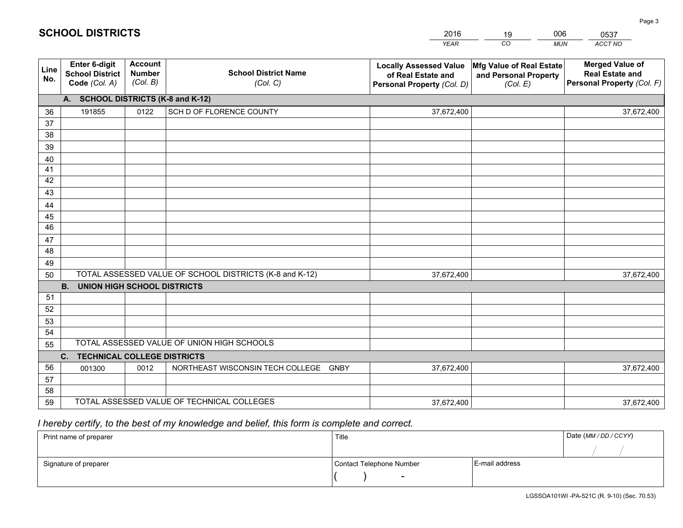|             |                                                                 |                                             |                                                         | <b>YEAR</b>                                                                       | CO<br><b>MUN</b>                                              | ACCT NO                                                                        |
|-------------|-----------------------------------------------------------------|---------------------------------------------|---------------------------------------------------------|-----------------------------------------------------------------------------------|---------------------------------------------------------------|--------------------------------------------------------------------------------|
| Line<br>No. | <b>Enter 6-digit</b><br><b>School District</b><br>Code (Col. A) | <b>Account</b><br><b>Number</b><br>(Col. B) | <b>School District Name</b><br>(Col. C)                 | <b>Locally Assessed Value</b><br>of Real Estate and<br>Personal Property (Col. D) | Mfg Value of Real Estate<br>and Personal Property<br>(Col. E) | <b>Merged Value of</b><br><b>Real Estate and</b><br>Personal Property (Col. F) |
|             | A. SCHOOL DISTRICTS (K-8 and K-12)                              |                                             |                                                         |                                                                                   |                                                               |                                                                                |
| 36          | 191855                                                          | 0122                                        | SCH D OF FLORENCE COUNTY                                | 37,672,400                                                                        |                                                               | 37,672,400                                                                     |
| 37          |                                                                 |                                             |                                                         |                                                                                   |                                                               |                                                                                |
| 38          |                                                                 |                                             |                                                         |                                                                                   |                                                               |                                                                                |
| 39          |                                                                 |                                             |                                                         |                                                                                   |                                                               |                                                                                |
| 40          |                                                                 |                                             |                                                         |                                                                                   |                                                               |                                                                                |
| 41<br>42    |                                                                 |                                             |                                                         |                                                                                   |                                                               |                                                                                |
| 43          |                                                                 |                                             |                                                         |                                                                                   |                                                               |                                                                                |
| 44          |                                                                 |                                             |                                                         |                                                                                   |                                                               |                                                                                |
| 45          |                                                                 |                                             |                                                         |                                                                                   |                                                               |                                                                                |
| 46          |                                                                 |                                             |                                                         |                                                                                   |                                                               |                                                                                |
| 47          |                                                                 |                                             |                                                         |                                                                                   |                                                               |                                                                                |
| 48          |                                                                 |                                             |                                                         |                                                                                   |                                                               |                                                                                |
| 49          |                                                                 |                                             |                                                         |                                                                                   |                                                               |                                                                                |
| 50          |                                                                 |                                             | TOTAL ASSESSED VALUE OF SCHOOL DISTRICTS (K-8 and K-12) | 37,672,400                                                                        |                                                               | 37,672,400                                                                     |
|             | <b>B.</b><br><b>UNION HIGH SCHOOL DISTRICTS</b>                 |                                             |                                                         |                                                                                   |                                                               |                                                                                |
| 51          |                                                                 |                                             |                                                         |                                                                                   |                                                               |                                                                                |
| 52          |                                                                 |                                             |                                                         |                                                                                   |                                                               |                                                                                |
| 53          |                                                                 |                                             |                                                         |                                                                                   |                                                               |                                                                                |
| 54          |                                                                 |                                             | TOTAL ASSESSED VALUE OF UNION HIGH SCHOOLS              |                                                                                   |                                                               |                                                                                |
| 55          |                                                                 |                                             |                                                         |                                                                                   |                                                               |                                                                                |
| 56          | <b>TECHNICAL COLLEGE DISTRICTS</b><br>C.<br>001300              | 0012                                        | NORTHEAST WISCONSIN TECH COLLEGE<br><b>GNBY</b>         | 37,672,400                                                                        |                                                               | 37,672,400                                                                     |
| 57          |                                                                 |                                             |                                                         |                                                                                   |                                                               |                                                                                |
| 58          |                                                                 |                                             |                                                         |                                                                                   |                                                               |                                                                                |
| 59          |                                                                 |                                             | TOTAL ASSESSED VALUE OF TECHNICAL COLLEGES              | 37,672,400                                                                        |                                                               | 37,672,400                                                                     |

2016

19

006

# *I hereby certify, to the best of my knowledge and belief, this form is complete and correct.*

**SCHOOL DISTRICTS**

| Print name of preparer | Title                    |                | Date (MM / DD / CCYY) |
|------------------------|--------------------------|----------------|-----------------------|
|                        |                          |                |                       |
| Signature of preparer  | Contact Telephone Number | E-mail address |                       |
|                        | $\overline{\phantom{0}}$ |                |                       |

0537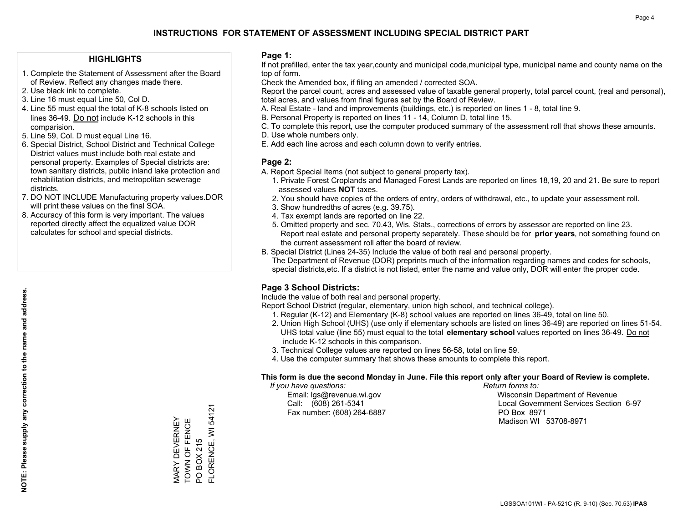### **HIGHLIGHTS**

- 1. Complete the Statement of Assessment after the Board of Review. Reflect any changes made there.
- 2. Use black ink to complete.
- 3. Line 16 must equal Line 50, Col D.
- 4. Line 55 must equal the total of K-8 schools listed on lines 36-49. Do not include K-12 schools in this comparision.
- 5. Line 59, Col. D must equal Line 16.
- 6. Special District, School District and Technical College District values must include both real estate and personal property. Examples of Special districts are: town sanitary districts, public inland lake protection and rehabilitation districts, and metropolitan sewerage districts.
- 7. DO NOT INCLUDE Manufacturing property values.DOR will print these values on the final SOA.

MARY DEVERNEY TOWN OF FENCE PO BOX 215

MARY DEVERNEY<br>TOWN OF FENCE

FLORENCE, WI 54121

FLORENCE, WI 54121

PO BOX 215

 8. Accuracy of this form is very important. The values reported directly affect the equalized value DOR calculates for school and special districts.

#### **Page 1:**

 If not prefilled, enter the tax year,county and municipal code,municipal type, municipal name and county name on the top of form.

Check the Amended box, if filing an amended / corrected SOA.

 Report the parcel count, acres and assessed value of taxable general property, total parcel count, (real and personal), total acres, and values from final figures set by the Board of Review.

- A. Real Estate land and improvements (buildings, etc.) is reported on lines 1 8, total line 9.
- B. Personal Property is reported on lines 11 14, Column D, total line 15.
- C. To complete this report, use the computer produced summary of the assessment roll that shows these amounts.
- D. Use whole numbers only.
- E. Add each line across and each column down to verify entries.

### **Page 2:**

- A. Report Special Items (not subject to general property tax).
- 1. Private Forest Croplands and Managed Forest Lands are reported on lines 18,19, 20 and 21. Be sure to report assessed values **NOT** taxes.
- 2. You should have copies of the orders of entry, orders of withdrawal, etc., to update your assessment roll.
	- 3. Show hundredths of acres (e.g. 39.75).
- 4. Tax exempt lands are reported on line 22.
- 5. Omitted property and sec. 70.43, Wis. Stats., corrections of errors by assessor are reported on line 23. Report real estate and personal property separately. These should be for **prior years**, not something found on the current assessment roll after the board of review.
- B. Special District (Lines 24-35) Include the value of both real and personal property.
- The Department of Revenue (DOR) preprints much of the information regarding names and codes for schools, special districts,etc. If a district is not listed, enter the name and value only, DOR will enter the proper code.

### **Page 3 School Districts:**

Include the value of both real and personal property.

Report School District (regular, elementary, union high school, and technical college).

- 1. Regular (K-12) and Elementary (K-8) school values are reported on lines 36-49, total on line 50.
- 2. Union High School (UHS) (use only if elementary schools are listed on lines 36-49) are reported on lines 51-54. UHS total value (line 55) must equal to the total **elementary school** values reported on lines 36-49. Do notinclude K-12 schools in this comparison.
- 3. Technical College values are reported on lines 56-58, total on line 59.
- 4. Use the computer summary that shows these amounts to complete this report.

#### **This form is due the second Monday in June. File this report only after your Board of Review is complete.**

 *If you have questions: Return forms to:*

Fax number: (608) 264-6887 PO Box 8971

 Email: lgs@revenue.wi.gov Wisconsin Department of Revenue Call: (608) 261-5341 Local Government Services Section 6-97Madison WI 53708-8971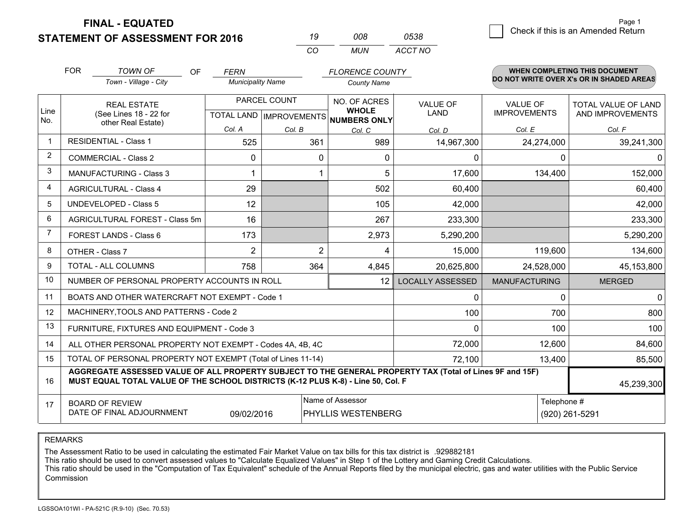**STATEMENT OF ASSESSMENT FOR 2016** 

| 19  | nn R | 0538    |
|-----|------|---------|
| CO. | MUN  | ACCT NO |

|                | <b>FOR</b>                                                                                                                                                                                   | <b>TOWN OF</b><br>OF                                                                      | <b>FERN</b>              |                | <b>FLORENCE COUNTY</b>       |                                |                                        | <b>WHEN COMPLETING THIS DOCUMENT</b>     |
|----------------|----------------------------------------------------------------------------------------------------------------------------------------------------------------------------------------------|-------------------------------------------------------------------------------------------|--------------------------|----------------|------------------------------|--------------------------------|----------------------------------------|------------------------------------------|
|                |                                                                                                                                                                                              | Town - Village - City                                                                     | <b>Municipality Name</b> |                | <b>County Name</b>           |                                |                                        | DO NOT WRITE OVER X's OR IN SHADED AREAS |
| Line           |                                                                                                                                                                                              | PARCEL COUNT<br><b>REAL ESTATE</b><br>(See Lines 18 - 22 for<br>TOTAL LAND   IMPROVEMENTS |                          |                | NO. OF ACRES<br><b>WHOLE</b> | <b>VALUE OF</b><br><b>LAND</b> | <b>VALUE OF</b><br><b>IMPROVEMENTS</b> | TOTAL VALUE OF LAND<br>AND IMPROVEMENTS  |
| No.            |                                                                                                                                                                                              | other Real Estate)                                                                        | Col. A                   | Col. B         | NUMBERS ONLY                 |                                |                                        |                                          |
| $\mathbf 1$    |                                                                                                                                                                                              | <b>RESIDENTIAL - Class 1</b>                                                              | 525                      | 361            | Col. C<br>989                | Col. D<br>14,967,300           | Col. E<br>24,274,000                   | Col. F<br>39,241,300                     |
| 2              |                                                                                                                                                                                              | <b>COMMERCIAL - Class 2</b>                                                               | $\Omega$                 | 0              | $\Omega$                     | 0                              | $\Omega$                               | <sup>0</sup>                             |
| 3              |                                                                                                                                                                                              | <b>MANUFACTURING - Class 3</b>                                                            | 1                        |                | 5.                           | 17,600                         | 134,400                                | 152,000                                  |
| 4              |                                                                                                                                                                                              | <b>AGRICULTURAL - Class 4</b>                                                             | 29                       |                | 502                          | 60,400                         |                                        | 60,400                                   |
| 5              |                                                                                                                                                                                              | <b>UNDEVELOPED - Class 5</b>                                                              | 12                       |                | 105                          | 42,000                         |                                        | 42,000                                   |
| 6              |                                                                                                                                                                                              | AGRICULTURAL FOREST - Class 5m                                                            | 16                       |                | 267                          | 233,300                        |                                        | 233,300                                  |
| $\overline{7}$ |                                                                                                                                                                                              | FOREST LANDS - Class 6                                                                    | 173                      |                | 2,973                        | 5,290,200                      |                                        | 5,290,200                                |
| 8              |                                                                                                                                                                                              | OTHER - Class 7                                                                           | $\overline{2}$           | $\overline{2}$ | 4                            | 15,000                         | 119,600                                | 134,600                                  |
| 9              |                                                                                                                                                                                              | TOTAL - ALL COLUMNS                                                                       | 758                      | 364            | 4,845                        | 20,625,800                     | 24,528,000                             | 45,153,800                               |
| 10             |                                                                                                                                                                                              | NUMBER OF PERSONAL PROPERTY ACCOUNTS IN ROLL                                              |                          |                | 12                           | <b>LOCALLY ASSESSED</b>        | <b>MANUFACTURING</b>                   | <b>MERGED</b>                            |
| 11             |                                                                                                                                                                                              | BOATS AND OTHER WATERCRAFT NOT EXEMPT - Code 1                                            |                          |                |                              | $\mathbf{0}$                   | 0                                      | $\mathbf 0$                              |
| 12             |                                                                                                                                                                                              | MACHINERY, TOOLS AND PATTERNS - Code 2                                                    |                          |                |                              | 100                            | 700                                    | 800                                      |
| 13             |                                                                                                                                                                                              | FURNITURE, FIXTURES AND EQUIPMENT - Code 3                                                |                          |                |                              | 0                              | 100                                    | 100                                      |
| 14             |                                                                                                                                                                                              | ALL OTHER PERSONAL PROPERTY NOT EXEMPT - Codes 4A, 4B, 4C                                 |                          |                |                              | 72,000                         | 12,600                                 | 84,600                                   |
| 15             | TOTAL OF PERSONAL PROPERTY NOT EXEMPT (Total of Lines 11-14)<br>72,100<br>13,400                                                                                                             |                                                                                           |                          |                |                              |                                |                                        | 85,500                                   |
| 16             | AGGREGATE ASSESSED VALUE OF ALL PROPERTY SUBJECT TO THE GENERAL PROPERTY TAX (Total of Lines 9F and 15F)<br>MUST EQUAL TOTAL VALUE OF THE SCHOOL DISTRICTS (K-12 PLUS K-8) - Line 50, Col. F |                                                                                           |                          |                |                              |                                |                                        | 45,239,300                               |
| 17             | Name of Assessor<br>Telephone #<br><b>BOARD OF REVIEW</b><br>DATE OF FINAL ADJOURNMENT<br>09/02/2016<br>PHYLLIS WESTENBERG<br>(920) 261-5291                                                 |                                                                                           |                          |                |                              |                                |                                        |                                          |

#### REMARKS

The Assessment Ratio to be used in calculating the estimated Fair Market Value on tax bills for this tax district is .929882181<br>This ratio should be used to convert assessed values to "Calculate Equalized Values" in Step 1 Commission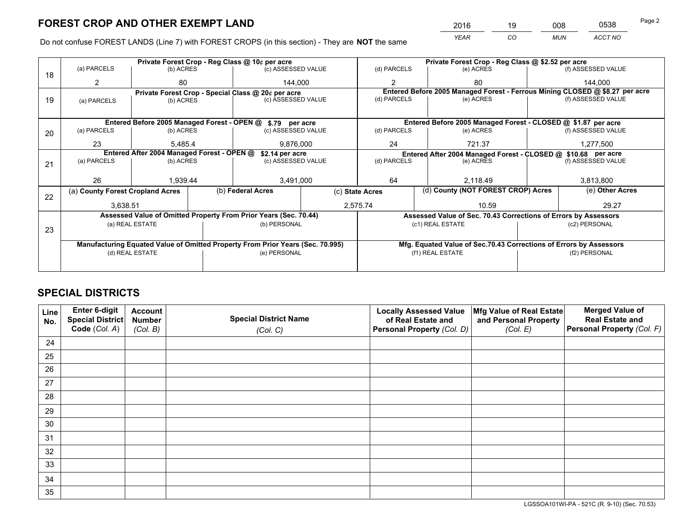*YEAR CO MUN ACCT NO* <sup>2016</sup> <sup>19</sup> <sup>008</sup> <sup>0538</sup>

Do not confuse FOREST LANDS (Line 7) with FOREST CROPS (in this section) - They are **NOT** the same

|    |                                                                                |                                                               |  | Private Forest Crop - Reg Class @ 10¢ per acre                   |                 | Private Forest Crop - Reg Class @ \$2.52 per acre                            |                                                               |                                    |                    |                                                                    |
|----|--------------------------------------------------------------------------------|---------------------------------------------------------------|--|------------------------------------------------------------------|-----------------|------------------------------------------------------------------------------|---------------------------------------------------------------|------------------------------------|--------------------|--------------------------------------------------------------------|
| 18 | (a) PARCELS                                                                    | (b) ACRES                                                     |  | (c) ASSESSED VALUE                                               |                 | (d) PARCELS                                                                  |                                                               | (e) ACRES                          |                    | (f) ASSESSED VALUE                                                 |
|    | 2                                                                              | 80                                                            |  | 144.000                                                          |                 | $\mathfrak{p}$                                                               |                                                               | 80                                 |                    | 144.000                                                            |
|    |                                                                                |                                                               |  | Private Forest Crop - Special Class @ 20¢ per acre               |                 | Entered Before 2005 Managed Forest - Ferrous Mining CLOSED @ \$8.27 per acre |                                                               |                                    |                    |                                                                    |
| 19 | (a) PARCELS                                                                    | (b) ACRES                                                     |  | (c) ASSESSED VALUE                                               |                 | (d) PARCELS                                                                  |                                                               | (e) ACRES                          |                    | (f) ASSESSED VALUE                                                 |
|    |                                                                                |                                                               |  |                                                                  |                 |                                                                              |                                                               |                                    |                    |                                                                    |
|    |                                                                                |                                                               |  | Entered Before 2005 Managed Forest - OPEN @ \$.79 per acre       |                 |                                                                              |                                                               |                                    |                    | Entered Before 2005 Managed Forest - CLOSED @ \$1.87 per acre      |
| 20 | (a) PARCELS                                                                    | (b) ACRES                                                     |  | (c) ASSESSED VALUE                                               |                 | (d) PARCELS                                                                  |                                                               | (e) ACRES                          |                    | (f) ASSESSED VALUE                                                 |
|    | 23                                                                             | 5.485.4                                                       |  | 9,876,000                                                        |                 | 24<br>721.37                                                                 |                                                               |                                    | 1,277,500          |                                                                    |
|    |                                                                                | Entered After 2004 Managed Forest - OPEN @<br>\$2.14 per acre |  |                                                                  |                 |                                                                              | Entered After 2004 Managed Forest - CLOSED @ \$10.68 per acre |                                    |                    |                                                                    |
| 21 | (a) PARCELS                                                                    | (b) ACRES                                                     |  | (c) ASSESSED VALUE                                               |                 | (d) PARCELS<br>(e) ACRES                                                     |                                                               |                                    | (f) ASSESSED VALUE |                                                                    |
|    |                                                                                |                                                               |  |                                                                  |                 |                                                                              |                                                               |                                    |                    |                                                                    |
|    | 26                                                                             | 1.939.44                                                      |  | 3,491,000                                                        | 64              |                                                                              |                                                               | 2.118.49                           |                    | 3,813,800                                                          |
| 22 | (a) County Forest Cropland Acres                                               |                                                               |  | (b) Federal Acres                                                | (c) State Acres |                                                                              |                                                               | (d) County (NOT FOREST CROP) Acres |                    | (e) Other Acres                                                    |
|    | 3,638.51                                                                       |                                                               |  | 2,575.74                                                         |                 |                                                                              |                                                               | 10.59                              |                    | 29.27                                                              |
|    |                                                                                |                                                               |  | Assessed Value of Omitted Property From Prior Years (Sec. 70.44) |                 |                                                                              |                                                               |                                    |                    | Assessed Value of Sec. 70.43 Corrections of Errors by Assessors    |
|    |                                                                                | (a) REAL ESTATE                                               |  | (b) PERSONAL                                                     |                 |                                                                              | (c1) REAL ESTATE                                              |                                    |                    | (c2) PERSONAL                                                      |
| 23 |                                                                                |                                                               |  |                                                                  |                 |                                                                              |                                                               |                                    |                    |                                                                    |
|    | Manufacturing Equated Value of Omitted Property From Prior Years (Sec. 70.995) |                                                               |  |                                                                  |                 |                                                                              |                                                               |                                    |                    | Mfg. Equated Value of Sec.70.43 Corrections of Errors by Assessors |
|    |                                                                                | (d) REAL ESTATE                                               |  | (e) PERSONAL                                                     |                 | (f1) REAL ESTATE                                                             |                                                               |                                    | (f2) PERSONAL      |                                                                    |
|    |                                                                                |                                                               |  |                                                                  |                 |                                                                              |                                                               |                                    |                    |                                                                    |

# **SPECIAL DISTRICTS**

| Line<br>No. | Enter 6-digit<br>Special District | <b>Account</b><br><b>Number</b> | <b>Special District Name</b> | <b>Locally Assessed Value</b><br>of Real Estate and | Mfg Value of Real Estate<br>and Personal Property | <b>Merged Value of</b><br><b>Real Estate and</b> |
|-------------|-----------------------------------|---------------------------------|------------------------------|-----------------------------------------------------|---------------------------------------------------|--------------------------------------------------|
|             | Code (Col. A)                     | (Col. B)                        | (Col. C)                     | Personal Property (Col. D)                          | (Col. E)                                          | Personal Property (Col. F)                       |
| 24          |                                   |                                 |                              |                                                     |                                                   |                                                  |
| 25          |                                   |                                 |                              |                                                     |                                                   |                                                  |
| 26          |                                   |                                 |                              |                                                     |                                                   |                                                  |
| 27          |                                   |                                 |                              |                                                     |                                                   |                                                  |
| 28          |                                   |                                 |                              |                                                     |                                                   |                                                  |
| 29          |                                   |                                 |                              |                                                     |                                                   |                                                  |
| 30          |                                   |                                 |                              |                                                     |                                                   |                                                  |
| 31          |                                   |                                 |                              |                                                     |                                                   |                                                  |
| 32          |                                   |                                 |                              |                                                     |                                                   |                                                  |
| 33          |                                   |                                 |                              |                                                     |                                                   |                                                  |
| 34          |                                   |                                 |                              |                                                     |                                                   |                                                  |
| 35          |                                   |                                 |                              |                                                     |                                                   |                                                  |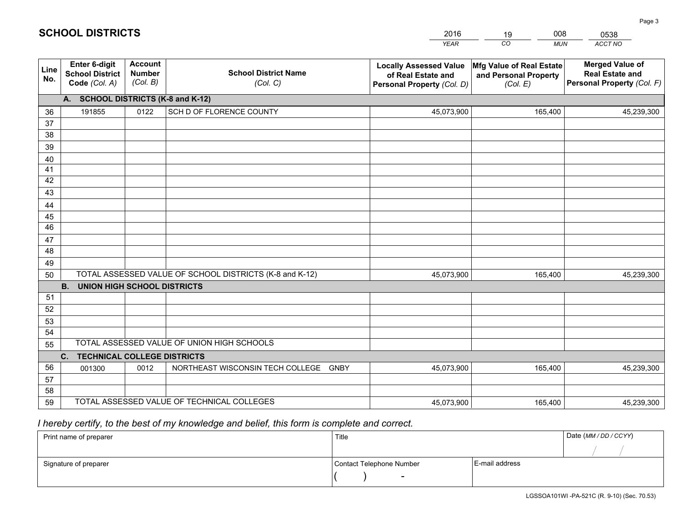|                 |                                                                 |                                             |                                                         | <b>YEAR</b>                                                                       | CO<br><b>MUN</b>                                              | ACCT NO                                                                        |
|-----------------|-----------------------------------------------------------------|---------------------------------------------|---------------------------------------------------------|-----------------------------------------------------------------------------------|---------------------------------------------------------------|--------------------------------------------------------------------------------|
| Line<br>No.     | <b>Enter 6-digit</b><br><b>School District</b><br>Code (Col. A) | <b>Account</b><br><b>Number</b><br>(Col. B) | <b>School District Name</b><br>(Col. C)                 | <b>Locally Assessed Value</b><br>of Real Estate and<br>Personal Property (Col. D) | Mfg Value of Real Estate<br>and Personal Property<br>(Col. E) | <b>Merged Value of</b><br><b>Real Estate and</b><br>Personal Property (Col. F) |
|                 | A. SCHOOL DISTRICTS (K-8 and K-12)                              |                                             |                                                         |                                                                                   |                                                               |                                                                                |
| 36              | 191855                                                          | 0122                                        | SCH D OF FLORENCE COUNTY                                | 45,073,900                                                                        | 165,400                                                       | 45,239,300                                                                     |
| 37              |                                                                 |                                             |                                                         |                                                                                   |                                                               |                                                                                |
| 38              |                                                                 |                                             |                                                         |                                                                                   |                                                               |                                                                                |
| 39              |                                                                 |                                             |                                                         |                                                                                   |                                                               |                                                                                |
| 40              |                                                                 |                                             |                                                         |                                                                                   |                                                               |                                                                                |
| 41              |                                                                 |                                             |                                                         |                                                                                   |                                                               |                                                                                |
| 42<br>43        |                                                                 |                                             |                                                         |                                                                                   |                                                               |                                                                                |
| 44              |                                                                 |                                             |                                                         |                                                                                   |                                                               |                                                                                |
| 45              |                                                                 |                                             |                                                         |                                                                                   |                                                               |                                                                                |
| $\overline{46}$ |                                                                 |                                             |                                                         |                                                                                   |                                                               |                                                                                |
| 47              |                                                                 |                                             |                                                         |                                                                                   |                                                               |                                                                                |
| 48              |                                                                 |                                             |                                                         |                                                                                   |                                                               |                                                                                |
| 49              |                                                                 |                                             |                                                         |                                                                                   |                                                               |                                                                                |
| 50              |                                                                 |                                             | TOTAL ASSESSED VALUE OF SCHOOL DISTRICTS (K-8 and K-12) | 45,073,900                                                                        | 165,400                                                       | 45,239,300                                                                     |
|                 | <b>B.</b><br><b>UNION HIGH SCHOOL DISTRICTS</b>                 |                                             |                                                         |                                                                                   |                                                               |                                                                                |
| 51              |                                                                 |                                             |                                                         |                                                                                   |                                                               |                                                                                |
| 52              |                                                                 |                                             |                                                         |                                                                                   |                                                               |                                                                                |
| 53              |                                                                 |                                             |                                                         |                                                                                   |                                                               |                                                                                |
| 54              |                                                                 |                                             |                                                         |                                                                                   |                                                               |                                                                                |
| 55              |                                                                 |                                             | TOTAL ASSESSED VALUE OF UNION HIGH SCHOOLS              |                                                                                   |                                                               |                                                                                |
|                 | C.<br><b>TECHNICAL COLLEGE DISTRICTS</b>                        |                                             |                                                         |                                                                                   |                                                               |                                                                                |
| 56              | 001300                                                          | 0012                                        | NORTHEAST WISCONSIN TECH COLLEGE<br><b>GNBY</b>         | 45,073,900                                                                        | 165,400                                                       | 45,239,300                                                                     |
| 57<br>58        |                                                                 |                                             |                                                         |                                                                                   |                                                               |                                                                                |
| 59              |                                                                 |                                             | TOTAL ASSESSED VALUE OF TECHNICAL COLLEGES              | 45,073,900                                                                        | 165,400                                                       | 45,239,300                                                                     |
|                 |                                                                 |                                             |                                                         |                                                                                   |                                                               |                                                                                |

2016

19

008

 *I hereby certify, to the best of my knowledge and belief, this form is complete and correct.*

**SCHOOL DISTRICTS**

| Print name of preparer | Title                    |                | Date (MM / DD / CCYY) |
|------------------------|--------------------------|----------------|-----------------------|
|                        |                          |                |                       |
| Signature of preparer  | Contact Telephone Number | E-mail address |                       |
|                        | $\overline{\phantom{0}}$ |                |                       |

0538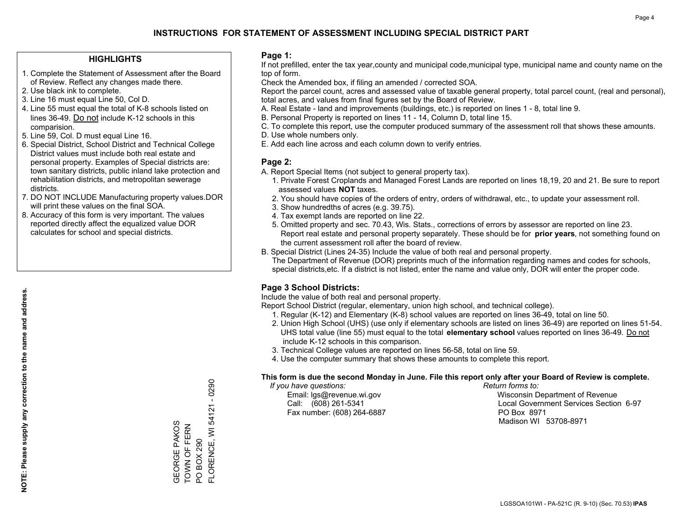### **HIGHLIGHTS**

- 1. Complete the Statement of Assessment after the Board of Review. Reflect any changes made there.
- 2. Use black ink to complete.
- 3. Line 16 must equal Line 50, Col D.
- 4. Line 55 must equal the total of K-8 schools listed on lines 36-49. Do not include K-12 schools in this comparision.
- 5. Line 59, Col. D must equal Line 16.
- 6. Special District, School District and Technical College District values must include both real estate and personal property. Examples of Special districts are: town sanitary districts, public inland lake protection and rehabilitation districts, and metropolitan sewerage districts.
- 7. DO NOT INCLUDE Manufacturing property values.DOR will print these values on the final SOA.

GEORGE PAKOS TOWN OF FERN PO BOX 290

GEORGE PAKOS<br>TOWN OF FERN

PO BOX 290

FLORENCE, WI 54121 - 0290

FLORENCE, WI 54121 - 0290

 8. Accuracy of this form is very important. The values reported directly affect the equalized value DOR calculates for school and special districts.

#### **Page 1:**

 If not prefilled, enter the tax year,county and municipal code,municipal type, municipal name and county name on the top of form.

Check the Amended box, if filing an amended / corrected SOA.

 Report the parcel count, acres and assessed value of taxable general property, total parcel count, (real and personal), total acres, and values from final figures set by the Board of Review.

- A. Real Estate land and improvements (buildings, etc.) is reported on lines 1 8, total line 9.
- B. Personal Property is reported on lines 11 14, Column D, total line 15.
- C. To complete this report, use the computer produced summary of the assessment roll that shows these amounts.
- D. Use whole numbers only.
- E. Add each line across and each column down to verify entries.

### **Page 2:**

- A. Report Special Items (not subject to general property tax).
- 1. Private Forest Croplands and Managed Forest Lands are reported on lines 18,19, 20 and 21. Be sure to report assessed values **NOT** taxes.
- 2. You should have copies of the orders of entry, orders of withdrawal, etc., to update your assessment roll.
	- 3. Show hundredths of acres (e.g. 39.75).
- 4. Tax exempt lands are reported on line 22.
- 5. Omitted property and sec. 70.43, Wis. Stats., corrections of errors by assessor are reported on line 23. Report real estate and personal property separately. These should be for **prior years**, not something found on the current assessment roll after the board of review.
- B. Special District (Lines 24-35) Include the value of both real and personal property.
- The Department of Revenue (DOR) preprints much of the information regarding names and codes for schools, special districts,etc. If a district is not listed, enter the name and value only, DOR will enter the proper code.

### **Page 3 School Districts:**

Include the value of both real and personal property.

Report School District (regular, elementary, union high school, and technical college).

- 1. Regular (K-12) and Elementary (K-8) school values are reported on lines 36-49, total on line 50.
- 2. Union High School (UHS) (use only if elementary schools are listed on lines 36-49) are reported on lines 51-54. UHS total value (line 55) must equal to the total **elementary school** values reported on lines 36-49. Do notinclude K-12 schools in this comparison.
- 3. Technical College values are reported on lines 56-58, total on line 59.
- 4. Use the computer summary that shows these amounts to complete this report.

#### **This form is due the second Monday in June. File this report only after your Board of Review is complete.**

 *If you have questions: Return forms to:*

Fax number: (608) 264-6887 PO Box 8971

 Email: lgs@revenue.wi.gov Wisconsin Department of Revenue Call: (608) 261-5341 Local Government Services Section 6-97Madison WI 53708-8971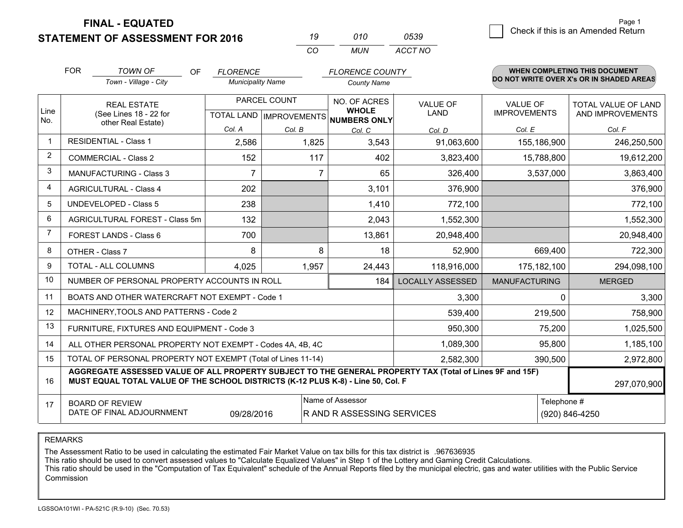**STATEMENT OF ASSESSMENT FOR 2016** 

|              | 010   | 0539    |
|--------------|-------|---------|
| $\mathbf{r}$ | MI IN | ACCT NO |

|                | <b>FOR</b>                                                                                                                                                                                   | <b>TOWN OF</b><br>OF                                      | <b>FLORENCE</b>          |                                                  | <b>FLORENCE COUNTY</b>       |                                |                                        | <b>WHEN COMPLETING THIS DOCUMENT</b>           |
|----------------|----------------------------------------------------------------------------------------------------------------------------------------------------------------------------------------------|-----------------------------------------------------------|--------------------------|--------------------------------------------------|------------------------------|--------------------------------|----------------------------------------|------------------------------------------------|
|                |                                                                                                                                                                                              | Town - Village - City                                     | <b>Municipality Name</b> |                                                  | <b>County Name</b>           |                                |                                        | DO NOT WRITE OVER X's OR IN SHADED AREAS       |
| Line           |                                                                                                                                                                                              | REAL ESTATE<br>(See Lines 18 - 22 for                     |                          | PARCEL COUNT<br><b>TOTAL LAND   IMPROVEMENTS</b> | NO. OF ACRES<br><b>WHOLE</b> | <b>VALUE OF</b><br><b>LAND</b> | <b>VALUE OF</b><br><b>IMPROVEMENTS</b> | <b>TOTAL VALUE OF LAND</b><br>AND IMPROVEMENTS |
| No.            | other Real Estate)                                                                                                                                                                           | Col. A                                                    | Col. B                   | NUMBERS ONLY<br>Col. C                           | Col. D                       | Col. E                         | Col. F                                 |                                                |
| -1             |                                                                                                                                                                                              | <b>RESIDENTIAL - Class 1</b>                              | 2,586                    | 1,825                                            | 3,543                        | 91,063,600                     | 155,186,900                            | 246,250,500                                    |
| 2              |                                                                                                                                                                                              | <b>COMMERCIAL - Class 2</b>                               | 152                      | 117                                              | 402                          | 3,823,400                      | 15,788,800                             | 19,612,200                                     |
| 3              |                                                                                                                                                                                              | <b>MANUFACTURING - Class 3</b>                            | $\overline{7}$           | $\overline{7}$                                   | 65                           | 326,400                        | 3,537,000                              | 3,863,400                                      |
| 4              |                                                                                                                                                                                              | <b>AGRICULTURAL - Class 4</b>                             | 202                      |                                                  | 3,101                        | 376,900                        |                                        | 376,900                                        |
| 5              |                                                                                                                                                                                              | <b>UNDEVELOPED - Class 5</b>                              | 238                      |                                                  | 1,410                        | 772,100                        |                                        | 772,100                                        |
| 6              |                                                                                                                                                                                              | AGRICULTURAL FOREST - Class 5m                            | 132                      |                                                  | 2,043                        | 1,552,300                      |                                        | 1,552,300                                      |
| $\overline{7}$ |                                                                                                                                                                                              | FOREST LANDS - Class 6                                    | 700                      |                                                  | 13,861                       | 20,948,400                     |                                        | 20,948,400                                     |
| 8              |                                                                                                                                                                                              | OTHER - Class 7                                           | 8                        | 8                                                | 18                           | 52,900                         | 669,400                                | 722,300                                        |
| 9              |                                                                                                                                                                                              | TOTAL - ALL COLUMNS                                       | 4,025                    | 1,957                                            | 24,443                       | 118,916,000                    | 175,182,100                            | 294,098,100                                    |
| 10             |                                                                                                                                                                                              | NUMBER OF PERSONAL PROPERTY ACCOUNTS IN ROLL              |                          |                                                  | 184                          | <b>LOCALLY ASSESSED</b>        | <b>MANUFACTURING</b>                   | <b>MERGED</b>                                  |
| 11             |                                                                                                                                                                                              | BOATS AND OTHER WATERCRAFT NOT EXEMPT - Code 1            |                          |                                                  |                              | 3,300                          | $\Omega$                               | 3,300                                          |
| 12             |                                                                                                                                                                                              | MACHINERY, TOOLS AND PATTERNS - Code 2                    |                          |                                                  |                              | 539,400                        | 219,500                                | 758,900                                        |
| 13             |                                                                                                                                                                                              | FURNITURE, FIXTURES AND EQUIPMENT - Code 3                |                          |                                                  |                              | 950,300                        | 75,200                                 | 1,025,500                                      |
| 14             |                                                                                                                                                                                              | ALL OTHER PERSONAL PROPERTY NOT EXEMPT - Codes 4A, 4B, 4C |                          |                                                  |                              | 1,089,300                      | 95,800                                 | 1,185,100                                      |
| 15             | TOTAL OF PERSONAL PROPERTY NOT EXEMPT (Total of Lines 11-14)<br>2,582,300                                                                                                                    |                                                           |                          |                                                  |                              |                                | 390,500                                | 2,972,800                                      |
| 16             | AGGREGATE ASSESSED VALUE OF ALL PROPERTY SUBJECT TO THE GENERAL PROPERTY TAX (Total of Lines 9F and 15F)<br>MUST EQUAL TOTAL VALUE OF THE SCHOOL DISTRICTS (K-12 PLUS K-8) - Line 50, Col. F |                                                           |                          |                                                  |                              |                                | 297,070,900                            |                                                |
| 17             | Name of Assessor<br>Telephone #<br><b>BOARD OF REVIEW</b><br>DATE OF FINAL ADJOURNMENT<br>(920) 846-4250<br>09/28/2016<br>R AND R ASSESSING SERVICES                                         |                                                           |                          |                                                  |                              |                                |                                        |                                                |

REMARKS

The Assessment Ratio to be used in calculating the estimated Fair Market Value on tax bills for this tax district is .967636935<br>This ratio should be used to convert assessed values to "Calculate Equalized Values" in Step 1 Commission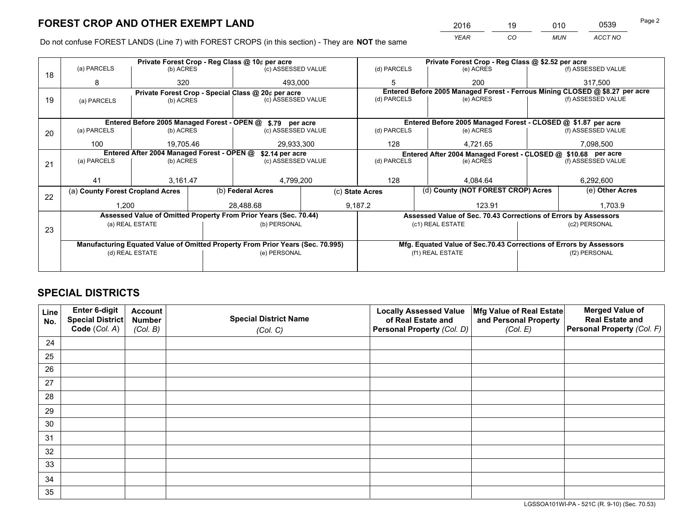*YEAR CO MUN ACCT NO* <sup>2016</sup> <sup>19</sup> <sup>010</sup> <sup>0539</sup>

Do not confuse FOREST LANDS (Line 7) with FOREST CROPS (in this section) - They are **NOT** the same

|    |                                                                                |                 |  | Private Forest Crop - Reg Class @ 10¢ per acre                   |                                                                              | Private Forest Crop - Reg Class @ \$2.52 per acre |                                                                    |                    |                    |  |
|----|--------------------------------------------------------------------------------|-----------------|--|------------------------------------------------------------------|------------------------------------------------------------------------------|---------------------------------------------------|--------------------------------------------------------------------|--------------------|--------------------|--|
| 18 | (a) PARCELS                                                                    | (b) ACRES       |  | (c) ASSESSED VALUE                                               |                                                                              | (d) PARCELS                                       | (e) ACRES                                                          |                    | (f) ASSESSED VALUE |  |
|    | 8                                                                              | 320             |  | 493.000                                                          |                                                                              | 5                                                 | 200                                                                |                    | 317,500            |  |
|    | Private Forest Crop - Special Class @ 20¢ per acre                             |                 |  |                                                                  | Entered Before 2005 Managed Forest - Ferrous Mining CLOSED @ \$8.27 per acre |                                                   |                                                                    |                    |                    |  |
| 19 | (a) PARCELS                                                                    | (b) ACRES       |  | (c) ASSESSED VALUE                                               |                                                                              | (d) PARCELS                                       | (e) ACRES                                                          |                    | (f) ASSESSED VALUE |  |
|    |                                                                                |                 |  |                                                                  |                                                                              |                                                   |                                                                    |                    |                    |  |
|    |                                                                                |                 |  | Entered Before 2005 Managed Forest - OPEN @ \$.79 per acre       |                                                                              |                                                   | Entered Before 2005 Managed Forest - CLOSED @ \$1.87 per acre      |                    |                    |  |
| 20 | (a) PARCELS                                                                    | (b) ACRES       |  | (c) ASSESSED VALUE                                               |                                                                              | (d) PARCELS                                       | (e) ACRES                                                          |                    | (f) ASSESSED VALUE |  |
|    | 100                                                                            | 19.705.46       |  | 29,933,300                                                       |                                                                              | 128                                               | 4,721.65                                                           |                    | 7,098,500          |  |
|    | Entered After 2004 Managed Forest - OPEN @<br>\$2.14 per acre                  |                 |  |                                                                  |                                                                              |                                                   | Entered After 2004 Managed Forest - CLOSED @ \$10.68 per acre      |                    |                    |  |
| 21 | (a) PARCELS                                                                    | (b) ACRES       |  | (c) ASSESSED VALUE                                               |                                                                              | (d) PARCELS<br>(e) ACRES                          |                                                                    | (f) ASSESSED VALUE |                    |  |
|    |                                                                                |                 |  |                                                                  |                                                                              |                                                   |                                                                    |                    |                    |  |
|    | 41                                                                             | 3,161.47        |  | 4,799,200                                                        |                                                                              | 128<br>4.084.64                                   |                                                                    |                    | 6,292,600          |  |
| 22 | (a) County Forest Cropland Acres                                               |                 |  | (b) Federal Acres                                                | (c) State Acres                                                              |                                                   | (d) County (NOT FOREST CROP) Acres                                 |                    | (e) Other Acres    |  |
|    | 1,200                                                                          |                 |  | 28.488.68                                                        |                                                                              | 9,187.2<br>123.91                                 |                                                                    |                    | 1,703.9            |  |
|    |                                                                                |                 |  | Assessed Value of Omitted Property From Prior Years (Sec. 70.44) |                                                                              |                                                   | Assessed Value of Sec. 70.43 Corrections of Errors by Assessors    |                    |                    |  |
|    |                                                                                | (a) REAL ESTATE |  | (b) PERSONAL                                                     |                                                                              |                                                   | (c1) REAL ESTATE                                                   |                    | (c2) PERSONAL      |  |
| 23 |                                                                                |                 |  |                                                                  |                                                                              |                                                   |                                                                    |                    |                    |  |
|    | Manufacturing Equated Value of Omitted Property From Prior Years (Sec. 70.995) |                 |  |                                                                  |                                                                              |                                                   | Mfg. Equated Value of Sec.70.43 Corrections of Errors by Assessors |                    |                    |  |
|    | (d) REAL ESTATE                                                                |                 |  | (e) PERSONAL                                                     |                                                                              | (f1) REAL ESTATE                                  |                                                                    |                    | (f2) PERSONAL      |  |
|    |                                                                                |                 |  |                                                                  |                                                                              |                                                   |                                                                    |                    |                    |  |

# **SPECIAL DISTRICTS**

| Line<br>No. | Enter 6-digit<br>Special District<br>Code (Col. A) | <b>Account</b><br><b>Number</b><br>(Col. B) | <b>Special District Name</b><br>(Col. C) | <b>Locally Assessed Value</b><br>of Real Estate and<br>Personal Property (Col. D) | Mfg Value of Real Estate<br>and Personal Property<br>(Col. E) | <b>Merged Value of</b><br><b>Real Estate and</b><br>Personal Property (Col. F) |
|-------------|----------------------------------------------------|---------------------------------------------|------------------------------------------|-----------------------------------------------------------------------------------|---------------------------------------------------------------|--------------------------------------------------------------------------------|
| 24          |                                                    |                                             |                                          |                                                                                   |                                                               |                                                                                |
| 25          |                                                    |                                             |                                          |                                                                                   |                                                               |                                                                                |
| 26          |                                                    |                                             |                                          |                                                                                   |                                                               |                                                                                |
| 27          |                                                    |                                             |                                          |                                                                                   |                                                               |                                                                                |
| 28          |                                                    |                                             |                                          |                                                                                   |                                                               |                                                                                |
| 29          |                                                    |                                             |                                          |                                                                                   |                                                               |                                                                                |
| 30          |                                                    |                                             |                                          |                                                                                   |                                                               |                                                                                |
| 31          |                                                    |                                             |                                          |                                                                                   |                                                               |                                                                                |
| 32          |                                                    |                                             |                                          |                                                                                   |                                                               |                                                                                |
| 33          |                                                    |                                             |                                          |                                                                                   |                                                               |                                                                                |
| 34          |                                                    |                                             |                                          |                                                                                   |                                                               |                                                                                |
| 35          |                                                    |                                             |                                          |                                                                                   |                                                               |                                                                                |

LGSSOA101WI-PA - 521C (R. 9-10) (Sec. 70.53)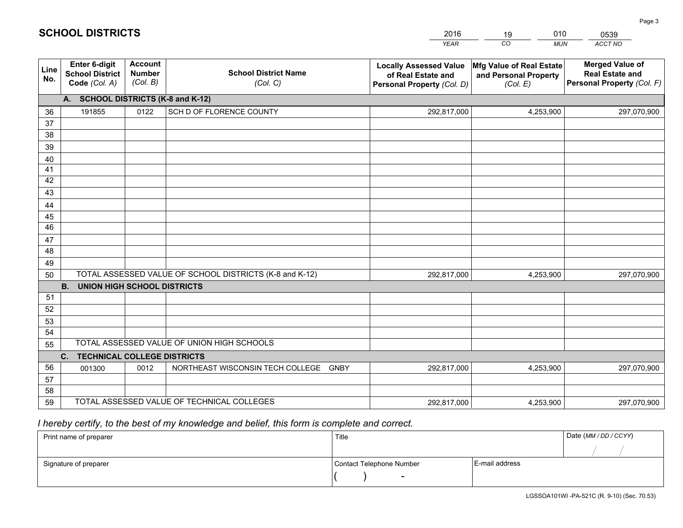|             |                                                          |                                             |                                                         | <b>YEAR</b>                                                                       | CO<br><b>MUN</b>                                              | ACCT NO                                                                        |
|-------------|----------------------------------------------------------|---------------------------------------------|---------------------------------------------------------|-----------------------------------------------------------------------------------|---------------------------------------------------------------|--------------------------------------------------------------------------------|
| Line<br>No. | Enter 6-digit<br><b>School District</b><br>Code (Col. A) | <b>Account</b><br><b>Number</b><br>(Col. B) | <b>School District Name</b><br>(Col. C)                 | <b>Locally Assessed Value</b><br>of Real Estate and<br>Personal Property (Col. D) | Mfg Value of Real Estate<br>and Personal Property<br>(Col. E) | <b>Merged Value of</b><br><b>Real Estate and</b><br>Personal Property (Col. F) |
|             | A. SCHOOL DISTRICTS (K-8 and K-12)                       |                                             |                                                         |                                                                                   |                                                               |                                                                                |
| 36          | 191855                                                   | 0122                                        | SCH D OF FLORENCE COUNTY                                | 292,817,000                                                                       | 4,253,900                                                     | 297,070,900                                                                    |
| 37          |                                                          |                                             |                                                         |                                                                                   |                                                               |                                                                                |
| 38          |                                                          |                                             |                                                         |                                                                                   |                                                               |                                                                                |
| 39          |                                                          |                                             |                                                         |                                                                                   |                                                               |                                                                                |
| 40          |                                                          |                                             |                                                         |                                                                                   |                                                               |                                                                                |
| 41<br>42    |                                                          |                                             |                                                         |                                                                                   |                                                               |                                                                                |
| 43          |                                                          |                                             |                                                         |                                                                                   |                                                               |                                                                                |
| 44          |                                                          |                                             |                                                         |                                                                                   |                                                               |                                                                                |
| 45          |                                                          |                                             |                                                         |                                                                                   |                                                               |                                                                                |
| 46          |                                                          |                                             |                                                         |                                                                                   |                                                               |                                                                                |
| 47          |                                                          |                                             |                                                         |                                                                                   |                                                               |                                                                                |
| 48          |                                                          |                                             |                                                         |                                                                                   |                                                               |                                                                                |
| 49          |                                                          |                                             |                                                         |                                                                                   |                                                               |                                                                                |
| 50          |                                                          |                                             | TOTAL ASSESSED VALUE OF SCHOOL DISTRICTS (K-8 and K-12) | 292,817,000                                                                       | 4,253,900                                                     | 297,070,900                                                                    |
|             | <b>B.</b><br><b>UNION HIGH SCHOOL DISTRICTS</b>          |                                             |                                                         |                                                                                   |                                                               |                                                                                |
| 51          |                                                          |                                             |                                                         |                                                                                   |                                                               |                                                                                |
| 52          |                                                          |                                             |                                                         |                                                                                   |                                                               |                                                                                |
| 53          |                                                          |                                             |                                                         |                                                                                   |                                                               |                                                                                |
| 54          |                                                          |                                             |                                                         |                                                                                   |                                                               |                                                                                |
| 55          |                                                          |                                             | TOTAL ASSESSED VALUE OF UNION HIGH SCHOOLS              |                                                                                   |                                                               |                                                                                |
|             | C.<br><b>TECHNICAL COLLEGE DISTRICTS</b>                 |                                             |                                                         |                                                                                   |                                                               |                                                                                |
| 56<br>57    | 001300                                                   | 0012                                        | NORTHEAST WISCONSIN TECH COLLEGE GNBY                   | 292,817,000                                                                       | 4,253,900                                                     | 297,070,900                                                                    |
| 58          |                                                          |                                             |                                                         |                                                                                   |                                                               |                                                                                |
| 59          |                                                          |                                             | TOTAL ASSESSED VALUE OF TECHNICAL COLLEGES              | 292,817,000                                                                       | 4,253,900                                                     | 297,070,900                                                                    |

2016

19

010

 *I hereby certify, to the best of my knowledge and belief, this form is complete and correct.*

**SCHOOL DISTRICTS**

| Print name of preparer | Title                    |                | Date (MM / DD / CCYY) |
|------------------------|--------------------------|----------------|-----------------------|
|                        |                          |                |                       |
| Signature of preparer  | Contact Telephone Number | E-mail address |                       |
|                        | $\overline{\phantom{0}}$ |                |                       |

0539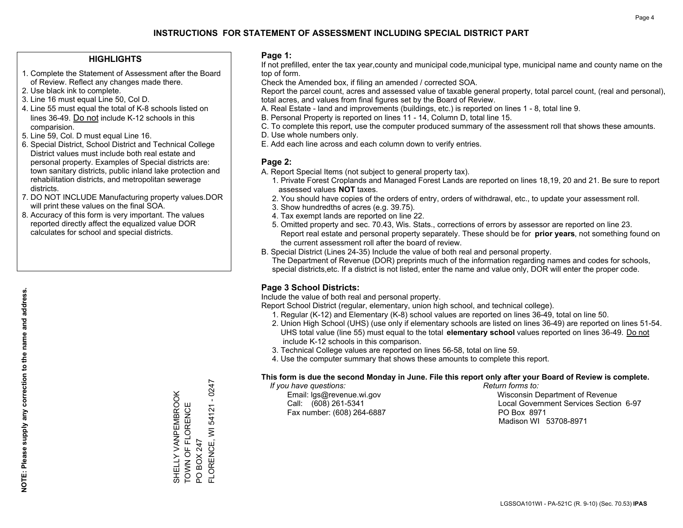### **HIGHLIGHTS**

- 1. Complete the Statement of Assessment after the Board of Review. Reflect any changes made there.
- 2. Use black ink to complete.
- 3. Line 16 must equal Line 50, Col D.
- 4. Line 55 must equal the total of K-8 schools listed on lines 36-49. Do not include K-12 schools in this comparision.
- 5. Line 59, Col. D must equal Line 16.
- 6. Special District, School District and Technical College District values must include both real estate and personal property. Examples of Special districts are: town sanitary districts, public inland lake protection and rehabilitation districts, and metropolitan sewerage districts.
- 7. DO NOT INCLUDE Manufacturing property values.DOR will print these values on the final SOA.

SHELLY VANPEMBROOK TOWN OF FLORENCE

SHELLY VANPEMBROOK<br>TOWN OF FLORENCE

PO BOX 247

FLORENCE, WI 54121 - 0247

FLORENCE, WI PO BOX 247

54121 - 0247

 8. Accuracy of this form is very important. The values reported directly affect the equalized value DOR calculates for school and special districts.

#### **Page 1:**

 If not prefilled, enter the tax year,county and municipal code,municipal type, municipal name and county name on the top of form.

Check the Amended box, if filing an amended / corrected SOA.

 Report the parcel count, acres and assessed value of taxable general property, total parcel count, (real and personal), total acres, and values from final figures set by the Board of Review.

- A. Real Estate land and improvements (buildings, etc.) is reported on lines 1 8, total line 9.
- B. Personal Property is reported on lines 11 14, Column D, total line 15.
- C. To complete this report, use the computer produced summary of the assessment roll that shows these amounts.
- D. Use whole numbers only.
- E. Add each line across and each column down to verify entries.

### **Page 2:**

- A. Report Special Items (not subject to general property tax).
- 1. Private Forest Croplands and Managed Forest Lands are reported on lines 18,19, 20 and 21. Be sure to report assessed values **NOT** taxes.
- 2. You should have copies of the orders of entry, orders of withdrawal, etc., to update your assessment roll.
	- 3. Show hundredths of acres (e.g. 39.75).
- 4. Tax exempt lands are reported on line 22.
- 5. Omitted property and sec. 70.43, Wis. Stats., corrections of errors by assessor are reported on line 23. Report real estate and personal property separately. These should be for **prior years**, not something found on the current assessment roll after the board of review.
- B. Special District (Lines 24-35) Include the value of both real and personal property.

 The Department of Revenue (DOR) preprints much of the information regarding names and codes for schools, special districts,etc. If a district is not listed, enter the name and value only, DOR will enter the proper code.

### **Page 3 School Districts:**

Include the value of both real and personal property.

Report School District (regular, elementary, union high school, and technical college).

- 1. Regular (K-12) and Elementary (K-8) school values are reported on lines 36-49, total on line 50.
- 2. Union High School (UHS) (use only if elementary schools are listed on lines 36-49) are reported on lines 51-54. UHS total value (line 55) must equal to the total **elementary school** values reported on lines 36-49. Do notinclude K-12 schools in this comparison.
- 3. Technical College values are reported on lines 56-58, total on line 59.
- 4. Use the computer summary that shows these amounts to complete this report.

#### **This form is due the second Monday in June. File this report only after your Board of Review is complete.**

 *If you have questions: Return forms to:*

Fax number: (608) 264-6887 PO Box 8971

 Email: lgs@revenue.wi.gov Wisconsin Department of Revenue Call: (608) 261-5341 Local Government Services Section 6-97Madison WI 53708-8971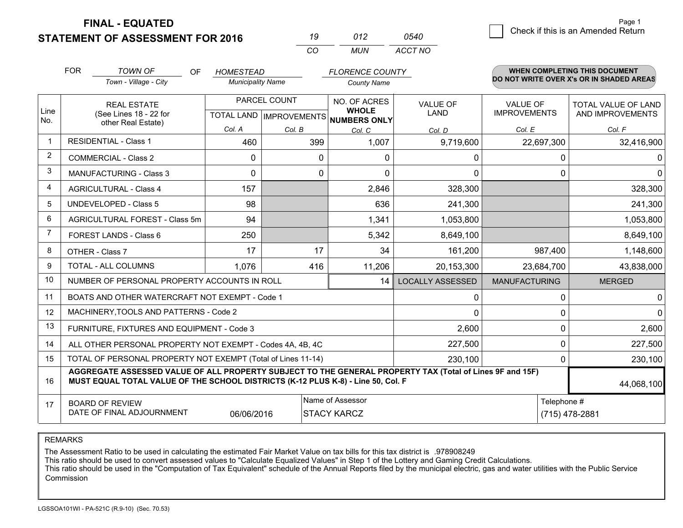**STATEMENT OF ASSESSMENT FOR 2016** 

|          | (112) | 0540    |
|----------|-------|---------|
| $\alpha$ | MUN   | ACCT NO |

|                | <b>FOR</b><br><b>TOWN OF</b><br><b>OF</b><br><b>HOMESTEAD</b><br><b>FLORENCE COUNTY</b>                                                                                                      |                                                              |                          |          | WHEN COMPLETING THIS DOCUMENT        |                                                                                 |                                 |                                          |  |  |  |
|----------------|----------------------------------------------------------------------------------------------------------------------------------------------------------------------------------------------|--------------------------------------------------------------|--------------------------|----------|--------------------------------------|---------------------------------------------------------------------------------|---------------------------------|------------------------------------------|--|--|--|
|                |                                                                                                                                                                                              | Town - Village - City                                        | <b>Municipality Name</b> |          | <b>County Name</b>                   |                                                                                 |                                 | DO NOT WRITE OVER X's OR IN SHADED AREAS |  |  |  |
| Line           |                                                                                                                                                                                              | PARCEL COUNT<br><b>REAL ESTATE</b><br>(See Lines 18 - 22 for |                          |          | NO. OF ACRES<br><b>WHOLE</b>         | VALUE OF<br><b>LAND</b>                                                         | VALUE OF<br><b>IMPROVEMENTS</b> | TOTAL VALUE OF LAND<br>AND IMPROVEMENTS  |  |  |  |
| No.            |                                                                                                                                                                                              | other Real Estate)                                           |                          |          | TOTAL LAND IMPROVEMENTS NUMBERS ONLY |                                                                                 |                                 |                                          |  |  |  |
| $\mathbf 1$    |                                                                                                                                                                                              | <b>RESIDENTIAL - Class 1</b>                                 | Col. A                   | Col. B   | Col. C                               | Col. D                                                                          | Col. E                          | Col. F                                   |  |  |  |
|                |                                                                                                                                                                                              |                                                              | 460                      | 399      | 1,007                                | 9,719,600                                                                       | 22,697,300                      | 32,416,900                               |  |  |  |
| $\overline{2}$ |                                                                                                                                                                                              | <b>COMMERCIAL - Class 2</b>                                  | $\Omega$                 | $\Omega$ | $\Omega$                             | 0                                                                               | 0                               |                                          |  |  |  |
| 3              |                                                                                                                                                                                              | <b>MANUFACTURING - Class 3</b>                               | $\Omega$                 | 0        | $\Omega$                             | 0                                                                               | 0                               | 0                                        |  |  |  |
| 4              |                                                                                                                                                                                              | <b>AGRICULTURAL - Class 4</b>                                | 157                      |          | 2,846                                | 328,300                                                                         |                                 | 328,300                                  |  |  |  |
| 5              |                                                                                                                                                                                              | <b>UNDEVELOPED - Class 5</b>                                 | 98                       |          | 636                                  | 241,300                                                                         |                                 | 241,300                                  |  |  |  |
| 6              | AGRICULTURAL FOREST - Class 5m                                                                                                                                                               |                                                              | 94                       |          | 1,341                                | 1,053,800                                                                       |                                 | 1,053,800                                |  |  |  |
| $\overline{7}$ |                                                                                                                                                                                              | FOREST LANDS - Class 6                                       | 250                      |          | 5,342                                | 8,649,100                                                                       |                                 | 8,649,100                                |  |  |  |
| 8              |                                                                                                                                                                                              | OTHER - Class 7                                              | 17                       | 17       | 34                                   | 161,200                                                                         | 987,400                         | 1,148,600                                |  |  |  |
| 9              |                                                                                                                                                                                              | TOTAL - ALL COLUMNS                                          | 1,076                    | 416      | 11,206                               | 20,153,300                                                                      | 23,684,700                      | 43,838,000                               |  |  |  |
| 10             |                                                                                                                                                                                              | NUMBER OF PERSONAL PROPERTY ACCOUNTS IN ROLL                 |                          |          | 14                                   | <b>LOCALLY ASSESSED</b>                                                         | <b>MANUFACTURING</b>            | <b>MERGED</b>                            |  |  |  |
| 11             |                                                                                                                                                                                              | BOATS AND OTHER WATERCRAFT NOT EXEMPT - Code 1               |                          |          |                                      | 0                                                                               | 0                               | 0                                        |  |  |  |
| 12             |                                                                                                                                                                                              | MACHINERY, TOOLS AND PATTERNS - Code 2                       |                          |          |                                      | 0                                                                               | 0                               | $\Omega$                                 |  |  |  |
| 13             |                                                                                                                                                                                              | FURNITURE, FIXTURES AND EQUIPMENT - Code 3                   |                          |          |                                      | 2,600                                                                           | 0                               | 2,600                                    |  |  |  |
| 14             |                                                                                                                                                                                              | ALL OTHER PERSONAL PROPERTY NOT EXEMPT - Codes 4A, 4B, 4C    |                          |          |                                      | 227,500                                                                         | 0                               | 227,500                                  |  |  |  |
| 15             |                                                                                                                                                                                              | TOTAL OF PERSONAL PROPERTY NOT EXEMPT (Total of Lines 11-14) |                          |          |                                      | 230,100                                                                         | 0                               | 230,100                                  |  |  |  |
| 16             | AGGREGATE ASSESSED VALUE OF ALL PROPERTY SUBJECT TO THE GENERAL PROPERTY TAX (Total of Lines 9F and 15F)<br>MUST EQUAL TOTAL VALUE OF THE SCHOOL DISTRICTS (K-12 PLUS K-8) - Line 50, Col. F |                                                              |                          |          |                                      |                                                                                 |                                 | 44,068,100                               |  |  |  |
| 17             |                                                                                                                                                                                              | <b>BOARD OF REVIEW</b>                                       |                          |          | Name of Assessor                     |                                                                                 | Telephone #                     |                                          |  |  |  |
|                |                                                                                                                                                                                              |                                                              |                          |          |                                      | DATE OF FINAL ADJOURNMENT<br><b>STACY KARCZ</b><br>(715) 478-2881<br>06/06/2016 |                                 |                                          |  |  |  |

REMARKS

The Assessment Ratio to be used in calculating the estimated Fair Market Value on tax bills for this tax district is .978908249

This ratio should be used to convert assessed values to "Calculate Equalized Values" in Step 1 of the Lottery and Gaming Credit Calculations.<br>This ratio should be used in the "Computation of Tax Equivalent" schedule of the **Commission**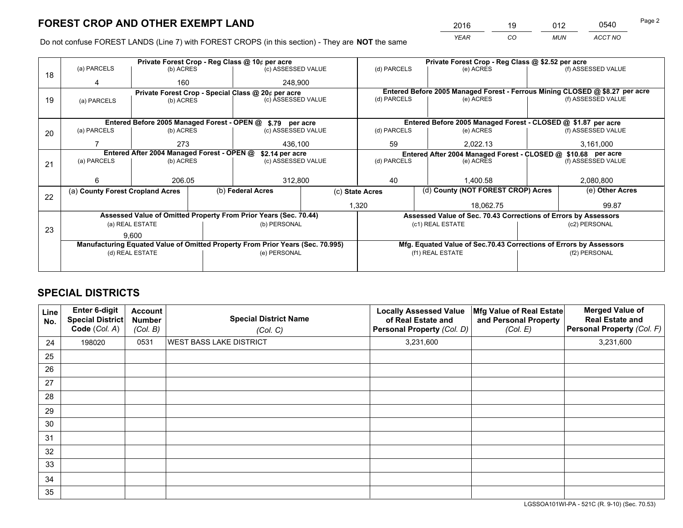*YEAR CO MUN ACCT NO* <sup>2016</sup> <sup>19</sup> <sup>012</sup> <sup>0540</sup>

Do not confuse FOREST LANDS (Line 7) with FOREST CROPS (in this section) - They are **NOT** the same

|    |                                                                                |                 |  | Private Forest Crop - Reg Class @ 10¢ per acre                   |                                                                              |                                                               | Private Forest Crop - Reg Class @ \$2.52 per acre                  |               |                    |  |
|----|--------------------------------------------------------------------------------|-----------------|--|------------------------------------------------------------------|------------------------------------------------------------------------------|---------------------------------------------------------------|--------------------------------------------------------------------|---------------|--------------------|--|
| 18 | (a) PARCELS                                                                    | (b) ACRES       |  | (c) ASSESSED VALUE                                               |                                                                              | (d) PARCELS                                                   | (e) ACRES                                                          |               | (f) ASSESSED VALUE |  |
|    |                                                                                | 160             |  | 248,900                                                          |                                                                              |                                                               |                                                                    |               |                    |  |
|    | Private Forest Crop - Special Class @ 20¢ per acre                             |                 |  |                                                                  | Entered Before 2005 Managed Forest - Ferrous Mining CLOSED @ \$8.27 per acre |                                                               |                                                                    |               |                    |  |
| 19 | (a) PARCELS                                                                    | (b) ACRES       |  | (c) ASSESSED VALUE                                               |                                                                              | (d) PARCELS                                                   | (e) ACRES                                                          |               | (f) ASSESSED VALUE |  |
|    |                                                                                |                 |  |                                                                  |                                                                              |                                                               |                                                                    |               |                    |  |
|    |                                                                                |                 |  | Entered Before 2005 Managed Forest - OPEN @ \$.79 per acre       |                                                                              |                                                               | Entered Before 2005 Managed Forest - CLOSED @ \$1.87 per acre      |               |                    |  |
| 20 | (a) PARCELS                                                                    | (b) ACRES       |  | (c) ASSESSED VALUE                                               |                                                                              | (d) PARCELS                                                   | (e) ACRES                                                          |               | (f) ASSESSED VALUE |  |
|    |                                                                                | 273             |  | 436,100                                                          |                                                                              | 59                                                            | 2.022.13                                                           |               | 3,161,000          |  |
|    | Entered After 2004 Managed Forest - OPEN @<br>\$2.14 per acre                  |                 |  |                                                                  |                                                                              | Entered After 2004 Managed Forest - CLOSED @ \$10.68 per acre |                                                                    |               |                    |  |
| 21 | (a) PARCELS                                                                    | (b) ACRES       |  | (c) ASSESSED VALUE                                               |                                                                              | (d) PARCELS<br>(e) ACRES                                      |                                                                    |               | (f) ASSESSED VALUE |  |
|    |                                                                                |                 |  |                                                                  |                                                                              |                                                               |                                                                    |               |                    |  |
|    | 6                                                                              | 206.05          |  | 312,800                                                          |                                                                              | 40                                                            | 1.400.58                                                           |               | 2,080,800          |  |
| 22 | (a) County Forest Cropland Acres                                               |                 |  | (b) Federal Acres                                                | (c) State Acres                                                              |                                                               | (d) County (NOT FOREST CROP) Acres                                 |               | (e) Other Acres    |  |
|    |                                                                                |                 |  |                                                                  |                                                                              | 1,320<br>18,062.75                                            |                                                                    |               | 99.87              |  |
|    |                                                                                |                 |  | Assessed Value of Omitted Property From Prior Years (Sec. 70.44) |                                                                              |                                                               | Assessed Value of Sec. 70.43 Corrections of Errors by Assessors    |               |                    |  |
| 23 |                                                                                | (a) REAL ESTATE |  | (b) PERSONAL                                                     |                                                                              |                                                               | (c1) REAL ESTATE                                                   |               | (c2) PERSONAL      |  |
|    |                                                                                | 9.600           |  |                                                                  |                                                                              |                                                               |                                                                    |               |                    |  |
|    | Manufacturing Equated Value of Omitted Property From Prior Years (Sec. 70.995) |                 |  |                                                                  |                                                                              |                                                               | Mfg. Equated Value of Sec.70.43 Corrections of Errors by Assessors |               |                    |  |
|    | (d) REAL ESTATE                                                                |                 |  | (e) PERSONAL                                                     |                                                                              | (f1) REAL ESTATE                                              |                                                                    | (f2) PERSONAL |                    |  |
|    |                                                                                |                 |  |                                                                  |                                                                              |                                                               |                                                                    |               |                    |  |

# **SPECIAL DISTRICTS**

| Line<br>No. | Enter 6-digit<br><b>Special District</b><br>Code (Col. A) | <b>Account</b><br><b>Number</b><br>(Col. B) | <b>Special District Name</b><br>(Col. C) | <b>Locally Assessed Value</b><br>of Real Estate and<br>Personal Property (Col. D) | Mfg Value of Real Estate<br>and Personal Property<br>(Col. E) | <b>Merged Value of</b><br><b>Real Estate and</b><br>Personal Property (Col. F) |
|-------------|-----------------------------------------------------------|---------------------------------------------|------------------------------------------|-----------------------------------------------------------------------------------|---------------------------------------------------------------|--------------------------------------------------------------------------------|
| 24          | 198020                                                    | 0531                                        | <b>WEST BASS LAKE DISTRICT</b>           | 3,231,600                                                                         |                                                               | 3,231,600                                                                      |
| 25          |                                                           |                                             |                                          |                                                                                   |                                                               |                                                                                |
| 26          |                                                           |                                             |                                          |                                                                                   |                                                               |                                                                                |
| 27          |                                                           |                                             |                                          |                                                                                   |                                                               |                                                                                |
| 28          |                                                           |                                             |                                          |                                                                                   |                                                               |                                                                                |
| 29          |                                                           |                                             |                                          |                                                                                   |                                                               |                                                                                |
| 30          |                                                           |                                             |                                          |                                                                                   |                                                               |                                                                                |
| 31          |                                                           |                                             |                                          |                                                                                   |                                                               |                                                                                |
| 32          |                                                           |                                             |                                          |                                                                                   |                                                               |                                                                                |
| 33          |                                                           |                                             |                                          |                                                                                   |                                                               |                                                                                |
| 34          |                                                           |                                             |                                          |                                                                                   |                                                               |                                                                                |
| 35          |                                                           |                                             |                                          |                                                                                   |                                                               |                                                                                |

LGSSOA101WI-PA - 521C (R. 9-10) (Sec. 70.53)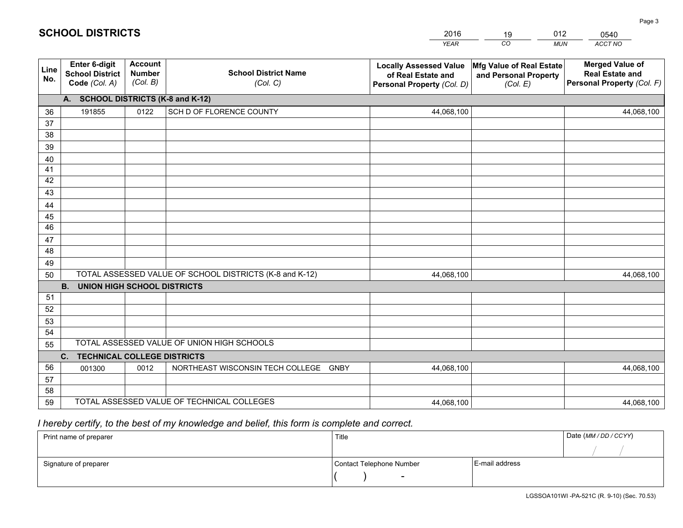|             |                                                          |                                             |                                                         | <b>YEAR</b>                                                                       | CO<br><b>MUN</b>                                              | ACCT NO                                                                        |
|-------------|----------------------------------------------------------|---------------------------------------------|---------------------------------------------------------|-----------------------------------------------------------------------------------|---------------------------------------------------------------|--------------------------------------------------------------------------------|
| Line<br>No. | Enter 6-digit<br><b>School District</b><br>Code (Col. A) | <b>Account</b><br><b>Number</b><br>(Col. B) | <b>School District Name</b><br>(Col. C)                 | <b>Locally Assessed Value</b><br>of Real Estate and<br>Personal Property (Col. D) | Mfg Value of Real Estate<br>and Personal Property<br>(Col. E) | <b>Merged Value of</b><br><b>Real Estate and</b><br>Personal Property (Col. F) |
|             | A. SCHOOL DISTRICTS (K-8 and K-12)                       |                                             |                                                         |                                                                                   |                                                               |                                                                                |
| 36          | 191855                                                   | 0122                                        | SCH D OF FLORENCE COUNTY                                | 44,068,100                                                                        |                                                               | 44,068,100                                                                     |
| 37          |                                                          |                                             |                                                         |                                                                                   |                                                               |                                                                                |
| 38          |                                                          |                                             |                                                         |                                                                                   |                                                               |                                                                                |
| 39          |                                                          |                                             |                                                         |                                                                                   |                                                               |                                                                                |
| 40          |                                                          |                                             |                                                         |                                                                                   |                                                               |                                                                                |
| 41<br>42    |                                                          |                                             |                                                         |                                                                                   |                                                               |                                                                                |
| 43          |                                                          |                                             |                                                         |                                                                                   |                                                               |                                                                                |
| 44          |                                                          |                                             |                                                         |                                                                                   |                                                               |                                                                                |
| 45          |                                                          |                                             |                                                         |                                                                                   |                                                               |                                                                                |
| 46          |                                                          |                                             |                                                         |                                                                                   |                                                               |                                                                                |
| 47          |                                                          |                                             |                                                         |                                                                                   |                                                               |                                                                                |
| 48          |                                                          |                                             |                                                         |                                                                                   |                                                               |                                                                                |
| 49          |                                                          |                                             |                                                         |                                                                                   |                                                               |                                                                                |
| 50          |                                                          |                                             | TOTAL ASSESSED VALUE OF SCHOOL DISTRICTS (K-8 and K-12) | 44,068,100                                                                        |                                                               | 44,068,100                                                                     |
|             | <b>B.</b><br><b>UNION HIGH SCHOOL DISTRICTS</b>          |                                             |                                                         |                                                                                   |                                                               |                                                                                |
| 51          |                                                          |                                             |                                                         |                                                                                   |                                                               |                                                                                |
| 52          |                                                          |                                             |                                                         |                                                                                   |                                                               |                                                                                |
| 53          |                                                          |                                             |                                                         |                                                                                   |                                                               |                                                                                |
| 54          |                                                          |                                             | TOTAL ASSESSED VALUE OF UNION HIGH SCHOOLS              |                                                                                   |                                                               |                                                                                |
| 55          |                                                          |                                             |                                                         |                                                                                   |                                                               |                                                                                |
| 56          | <b>TECHNICAL COLLEGE DISTRICTS</b><br>C.<br>001300       | 0012                                        | NORTHEAST WISCONSIN TECH COLLEGE<br><b>GNBY</b>         | 44,068,100                                                                        |                                                               | 44,068,100                                                                     |
| 57          |                                                          |                                             |                                                         |                                                                                   |                                                               |                                                                                |
| 58          |                                                          |                                             |                                                         |                                                                                   |                                                               |                                                                                |
| 59          |                                                          |                                             | TOTAL ASSESSED VALUE OF TECHNICAL COLLEGES              | 44,068,100                                                                        |                                                               | 44,068,100                                                                     |

2016

19

012

# *I hereby certify, to the best of my knowledge and belief, this form is complete and correct.*

**SCHOOL DISTRICTS**

| Print name of preparer | Title                    |                | Date (MM / DD / CCYY) |
|------------------------|--------------------------|----------------|-----------------------|
|                        |                          |                |                       |
| Signature of preparer  | Contact Telephone Number | E-mail address |                       |
|                        | $\overline{\phantom{0}}$ |                |                       |

0540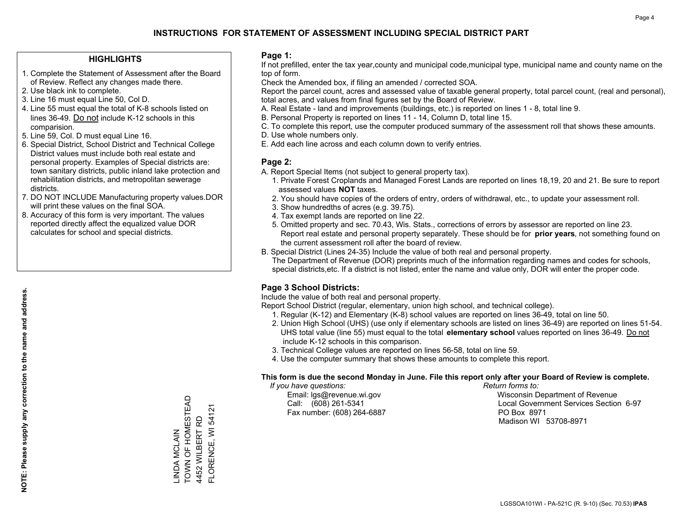### **HIGHLIGHTS**

- 1. Complete the Statement of Assessment after the Board of Review. Reflect any changes made there.
- 2. Use black ink to complete.
- 3. Line 16 must equal Line 50, Col D.
- 4. Line 55 must equal the total of K-8 schools listed on lines 36-49. Do not include K-12 schools in this comparision.
- 5. Line 59, Col. D must equal Line 16.
- 6. Special District, School District and Technical College District values must include both real estate and personal property. Examples of Special districts are: town sanitary districts, public inland lake protection and rehabilitation districts, and metropolitan sewerage districts.
- 7. DO NOT INCLUDE Manufacturing property values.DOR will print these values on the final SOA.
- 8. Accuracy of this form is very important. The values reported directly affect the equalized value DOR calculates for school and special districts.

#### **Page 1:**

 If not prefilled, enter the tax year,county and municipal code,municipal type, municipal name and county name on the top of form.

Check the Amended box, if filing an amended / corrected SOA.

 Report the parcel count, acres and assessed value of taxable general property, total parcel count, (real and personal), total acres, and values from final figures set by the Board of Review.

- A. Real Estate land and improvements (buildings, etc.) is reported on lines 1 8, total line 9.
- B. Personal Property is reported on lines 11 14, Column D, total line 15.
- C. To complete this report, use the computer produced summary of the assessment roll that shows these amounts.
- D. Use whole numbers only.
- E. Add each line across and each column down to verify entries.

#### **Page 2:**

- A. Report Special Items (not subject to general property tax).
- 1. Private Forest Croplands and Managed Forest Lands are reported on lines 18,19, 20 and 21. Be sure to report assessed values **NOT** taxes.
- 2. You should have copies of the orders of entry, orders of withdrawal, etc., to update your assessment roll.
	- 3. Show hundredths of acres (e.g. 39.75).
- 4. Tax exempt lands are reported on line 22.
- 5. Omitted property and sec. 70.43, Wis. Stats., corrections of errors by assessor are reported on line 23. Report real estate and personal property separately. These should be for **prior years**, not something found on the current assessment roll after the board of review.
- B. Special District (Lines 24-35) Include the value of both real and personal property.
- The Department of Revenue (DOR) preprints much of the information regarding names and codes for schools, special districts,etc. If a district is not listed, enter the name and value only, DOR will enter the proper code.

### **Page 3 School Districts:**

Include the value of both real and personal property.

Report School District (regular, elementary, union high school, and technical college).

- 1. Regular (K-12) and Elementary (K-8) school values are reported on lines 36-49, total on line 50.
- 2. Union High School (UHS) (use only if elementary schools are listed on lines 36-49) are reported on lines 51-54. UHS total value (line 55) must equal to the total **elementary school** values reported on lines 36-49. Do notinclude K-12 schools in this comparison.
- 3. Technical College values are reported on lines 56-58, total on line 59.
- 4. Use the computer summary that shows these amounts to complete this report.

#### **This form is due the second Monday in June. File this report only after your Board of Review is complete.**

 *If you have questions: Return forms to:*

Fax number: (608) 264-6887 PO Box 8971

 Email: lgs@revenue.wi.gov Wisconsin Department of Revenue Call: (608) 261-5341 Local Government Services Section 6-97Madison WI 53708-8971

**NOTE: Please supply any correction to the name and address.**

NOTE: Please supply any correction to the name and address.

TOWN OF HOMESTEAD \_INDA MCLAIN<br>TOWN OF HOMESTEAD FLORENCE, WI 54121 FLORENCE, WI 54121 4452 WILBERT RD 4452 WILBERT RD LINDA MCLAIN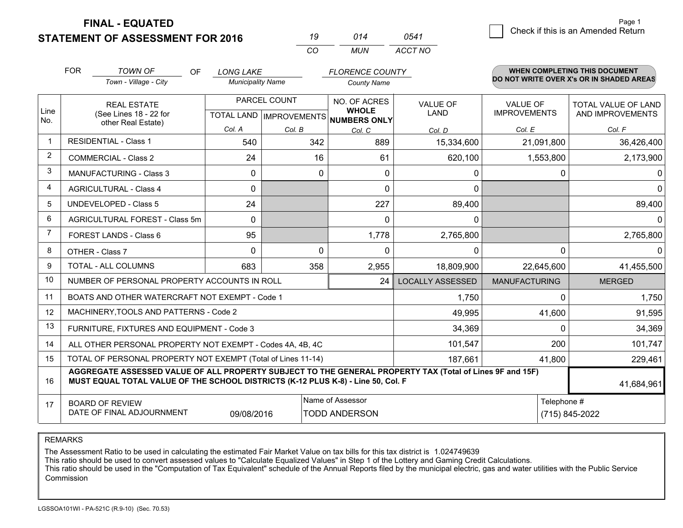**STATEMENT OF ASSESSMENT FOR 2016** 

| 19 | 014 | 0541    |
|----|-----|---------|
| m: | MUN | ACCT NO |

|                | <b>FOR</b><br><b>TOWN OF</b><br><b>OF</b><br><b>LONG LAKE</b><br>Town - Village - City<br><b>Municipality Name</b>                                                                           |              |              | <b>FLORENCE COUNTY</b><br><b>County Name</b>             |                         | WHEN COMPLETING THIS DOCUMENT<br>DO NOT WRITE OVER X's OR IN SHADED AREAS |                     |
|----------------|----------------------------------------------------------------------------------------------------------------------------------------------------------------------------------------------|--------------|--------------|----------------------------------------------------------|-------------------------|---------------------------------------------------------------------------|---------------------|
|                |                                                                                                                                                                                              |              |              |                                                          |                         |                                                                           |                     |
|                | <b>REAL ESTATE</b>                                                                                                                                                                           |              | PARCEL COUNT | NO. OF ACRES                                             | <b>VALUE OF</b>         | VALUE OF                                                                  | TOTAL VALUE OF LAND |
| Line<br>No.    | (See Lines 18 - 22 for                                                                                                                                                                       |              |              | <b>WHOLE</b><br>TOTAL LAND   IMPROVEMENTS   NUMBERS ONLY | LAND                    | <b>IMPROVEMENTS</b>                                                       | AND IMPROVEMENTS    |
|                | other Real Estate)                                                                                                                                                                           | Col. A       | Col. B       | Col. C                                                   | Col. D                  | Col. E                                                                    | Col. F              |
| $\mathbf{1}$   | <b>RESIDENTIAL - Class 1</b>                                                                                                                                                                 | 540          | 342          | 889                                                      | 15,334,600              | 21,091,800                                                                | 36,426,400          |
| $\overline{2}$ | <b>COMMERCIAL - Class 2</b>                                                                                                                                                                  | 24           | 16           | 61                                                       | 620,100                 | 1,553,800                                                                 | 2,173,900           |
| 3              | MANUFACTURING - Class 3                                                                                                                                                                      | $\Omega$     | 0            | 0                                                        | 0                       | 0                                                                         | 0                   |
| 4              | <b>AGRICULTURAL - Class 4</b>                                                                                                                                                                | $\mathbf 0$  |              | $\Omega$                                                 | $\mathbf{0}$            |                                                                           | 0                   |
| 5              | <b>UNDEVELOPED - Class 5</b>                                                                                                                                                                 | 24           |              | 227                                                      | 89,400                  |                                                                           | 89,400              |
| 6              | AGRICULTURAL FOREST - Class 5m                                                                                                                                                               | $\mathbf{0}$ |              | 0                                                        | 0                       |                                                                           | 0                   |
| $\overline{7}$ | FOREST LANDS - Class 6                                                                                                                                                                       | 95           |              | 1,778                                                    | 2,765,800               |                                                                           | 2,765,800           |
| 8              | OTHER - Class 7                                                                                                                                                                              | $\Omega$     | $\Omega$     | $\Omega$                                                 | $\Omega$                | $\Omega$                                                                  | 0                   |
| 9              | TOTAL - ALL COLUMNS                                                                                                                                                                          | 683          | 358          | 2,955                                                    | 18,809,900              | 22,645,600                                                                | 41,455,500          |
| 10             | NUMBER OF PERSONAL PROPERTY ACCOUNTS IN ROLL                                                                                                                                                 |              |              | 24                                                       | <b>LOCALLY ASSESSED</b> | <b>MANUFACTURING</b>                                                      | <b>MERGED</b>       |
| 11             | BOATS AND OTHER WATERCRAFT NOT EXEMPT - Code 1                                                                                                                                               |              |              |                                                          | 1,750                   | 0                                                                         | 1,750               |
| 12             | MACHINERY, TOOLS AND PATTERNS - Code 2                                                                                                                                                       |              |              |                                                          | 49,995                  | 41,600                                                                    | 91,595              |
| 13             | FURNITURE, FIXTURES AND EQUIPMENT - Code 3                                                                                                                                                   |              |              |                                                          | 34,369                  | $\Omega$                                                                  | 34,369              |
| 14             | ALL OTHER PERSONAL PROPERTY NOT EXEMPT - Codes 4A, 4B, 4C                                                                                                                                    |              |              |                                                          | 101,547                 | 200                                                                       | 101,747             |
| 15             | TOTAL OF PERSONAL PROPERTY NOT EXEMPT (Total of Lines 11-14)                                                                                                                                 | 187,661      | 41,800       | 229,461                                                  |                         |                                                                           |                     |
| 16             | AGGREGATE ASSESSED VALUE OF ALL PROPERTY SUBJECT TO THE GENERAL PROPERTY TAX (Total of Lines 9F and 15F)<br>MUST EQUAL TOTAL VALUE OF THE SCHOOL DISTRICTS (K-12 PLUS K-8) - Line 50, Col. F |              |              |                                                          |                         |                                                                           | 41,684,961          |
| 17             | <b>BOARD OF REVIEW</b>                                                                                                                                                                       |              |              | Name of Assessor                                         |                         | Telephone #                                                               |                     |
|                | DATE OF FINAL ADJOURNMENT<br><b>TODD ANDERSON</b><br>(715) 845-2022<br>09/08/2016                                                                                                            |              |              |                                                          |                         |                                                                           |                     |

REMARKS

The Assessment Ratio to be used in calculating the estimated Fair Market Value on tax bills for this tax district is 1.024749639

This ratio should be used to convert assessed values to "Calculate Equalized Values" in Step 1 of the Lottery and Gaming Credit Calculations.<br>This ratio should be used in the "Computation of Tax Equivalent" schedule of the **Commission**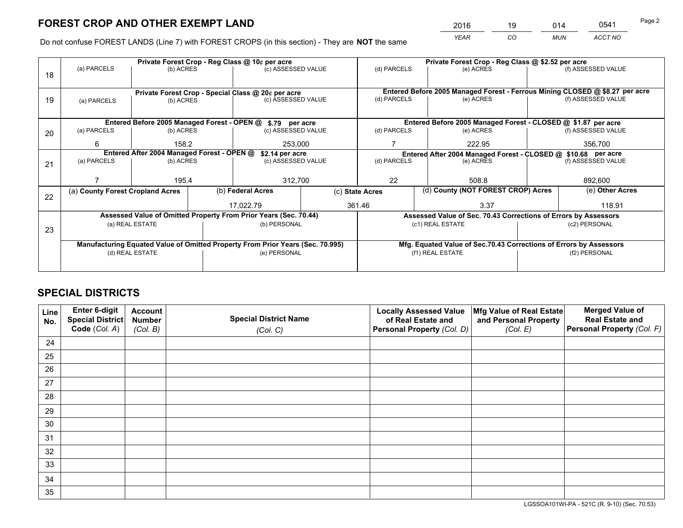*YEAR CO MUN ACCT NO* <sup>2016</sup> <sup>19</sup> <sup>014</sup> <sup>0541</sup>

Do not confuse FOREST LANDS (Line 7) with FOREST CROPS (in this section) - They are **NOT** the same

|    |                                                                                |                  |  | Private Forest Crop - Reg Class @ 10¢ per acre                   |        | Private Forest Crop - Reg Class @ \$2.52 per acre                            |                                                                    |               |                    |  |
|----|--------------------------------------------------------------------------------|------------------|--|------------------------------------------------------------------|--------|------------------------------------------------------------------------------|--------------------------------------------------------------------|---------------|--------------------|--|
| 18 | (a) PARCELS                                                                    | (b) ACRES        |  | (c) ASSESSED VALUE                                               |        | (d) PARCELS                                                                  | (e) ACRES                                                          |               | (f) ASSESSED VALUE |  |
|    |                                                                                |                  |  |                                                                  |        |                                                                              |                                                                    |               |                    |  |
|    | Private Forest Crop - Special Class @ 20¢ per acre                             |                  |  |                                                                  |        | Entered Before 2005 Managed Forest - Ferrous Mining CLOSED @ \$8.27 per acre |                                                                    |               |                    |  |
| 19 | (a) PARCELS                                                                    | (b) ACRES        |  | (c) ASSESSED VALUE                                               |        | (d) PARCELS                                                                  | (e) ACRES                                                          |               | (f) ASSESSED VALUE |  |
|    |                                                                                |                  |  |                                                                  |        |                                                                              |                                                                    |               |                    |  |
|    |                                                                                |                  |  | Entered Before 2005 Managed Forest - OPEN @ \$.79 per acre       |        |                                                                              | Entered Before 2005 Managed Forest - CLOSED @ \$1.87 per acre      |               |                    |  |
| 20 | (a) PARCELS                                                                    | (b) ACRES        |  | (c) ASSESSED VALUE                                               |        | (d) PARCELS                                                                  | (e) ACRES                                                          |               | (f) ASSESSED VALUE |  |
|    | 6                                                                              | 158.2<br>253,000 |  |                                                                  |        | 222.95                                                                       |                                                                    | 356,700       |                    |  |
|    | Entered After 2004 Managed Forest - OPEN @<br>\$2.14 per acre                  |                  |  |                                                                  |        | Entered After 2004 Managed Forest - CLOSED @ \$10.68 per acre                |                                                                    |               |                    |  |
| 21 | (a) PARCELS                                                                    | (b) ACRES        |  | (c) ASSESSED VALUE                                               |        | (d) PARCELS<br>(e) ACRES                                                     |                                                                    |               | (f) ASSESSED VALUE |  |
|    |                                                                                |                  |  |                                                                  |        |                                                                              |                                                                    |               |                    |  |
|    |                                                                                | 195.4            |  | 312,700                                                          |        | 22<br>508.8                                                                  |                                                                    |               | 892,600            |  |
| 22 | (a) County Forest Cropland Acres                                               |                  |  | (b) Federal Acres                                                |        | (d) County (NOT FOREST CROP) Acres<br>(c) State Acres                        |                                                                    |               | (e) Other Acres    |  |
|    |                                                                                |                  |  | 17.022.79                                                        | 361.46 |                                                                              | 3.37                                                               |               | 118.91             |  |
|    |                                                                                |                  |  | Assessed Value of Omitted Property From Prior Years (Sec. 70.44) |        |                                                                              | Assessed Value of Sec. 70.43 Corrections of Errors by Assessors    |               |                    |  |
| 23 |                                                                                | (a) REAL ESTATE  |  | (b) PERSONAL                                                     |        |                                                                              | (c1) REAL ESTATE                                                   |               | (c2) PERSONAL      |  |
|    |                                                                                |                  |  |                                                                  |        |                                                                              |                                                                    |               |                    |  |
|    | Manufacturing Equated Value of Omitted Property From Prior Years (Sec. 70.995) |                  |  |                                                                  |        |                                                                              | Mfg. Equated Value of Sec.70.43 Corrections of Errors by Assessors |               |                    |  |
|    | (d) REAL ESTATE                                                                |                  |  | (e) PERSONAL                                                     |        | (f1) REAL ESTATE                                                             |                                                                    | (f2) PERSONAL |                    |  |
|    |                                                                                |                  |  |                                                                  |        |                                                                              |                                                                    |               |                    |  |

# **SPECIAL DISTRICTS**

| Line<br>No. | Enter 6-digit<br><b>Special District</b> | <b>Account</b><br><b>Number</b> | <b>Special District Name</b> | <b>Locally Assessed Value</b><br>of Real Estate and | Mfg Value of Real Estate<br>and Personal Property | <b>Merged Value of</b><br><b>Real Estate and</b> |
|-------------|------------------------------------------|---------------------------------|------------------------------|-----------------------------------------------------|---------------------------------------------------|--------------------------------------------------|
|             | Code (Col. A)                            | (Col. B)                        | (Col. C)                     | Personal Property (Col. D)                          | (Col. E)                                          | Personal Property (Col. F)                       |
| 24          |                                          |                                 |                              |                                                     |                                                   |                                                  |
| 25          |                                          |                                 |                              |                                                     |                                                   |                                                  |
| 26          |                                          |                                 |                              |                                                     |                                                   |                                                  |
| 27          |                                          |                                 |                              |                                                     |                                                   |                                                  |
| 28          |                                          |                                 |                              |                                                     |                                                   |                                                  |
| 29          |                                          |                                 |                              |                                                     |                                                   |                                                  |
| 30          |                                          |                                 |                              |                                                     |                                                   |                                                  |
| 31          |                                          |                                 |                              |                                                     |                                                   |                                                  |
| 32          |                                          |                                 |                              |                                                     |                                                   |                                                  |
| 33          |                                          |                                 |                              |                                                     |                                                   |                                                  |
| 34          |                                          |                                 |                              |                                                     |                                                   |                                                  |
| 35          |                                          |                                 |                              |                                                     |                                                   |                                                  |

LGSSOA101WI-PA - 521C (R. 9-10) (Sec. 70.53)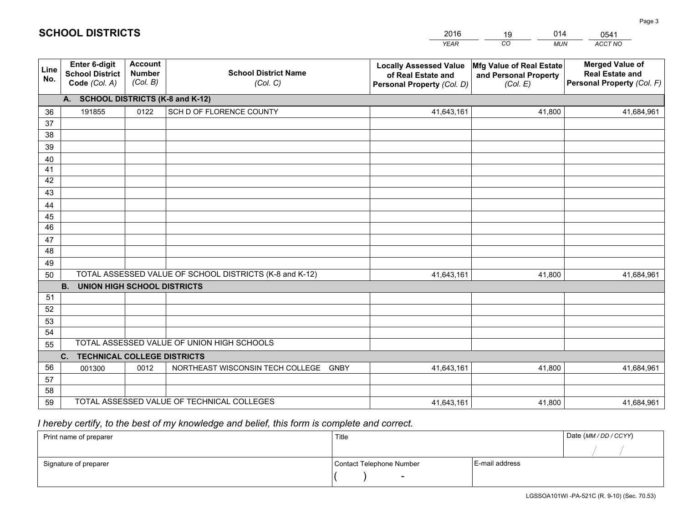|             |                                                                 |                                             |                                                         | <b>YEAR</b>                                                                       | CO<br><b>MUN</b>                                              | <b>ACCT NO</b>                                                                 |
|-------------|-----------------------------------------------------------------|---------------------------------------------|---------------------------------------------------------|-----------------------------------------------------------------------------------|---------------------------------------------------------------|--------------------------------------------------------------------------------|
| Line<br>No. | <b>Enter 6-digit</b><br><b>School District</b><br>Code (Col. A) | <b>Account</b><br><b>Number</b><br>(Col. B) | <b>School District Name</b><br>(Col. C)                 | <b>Locally Assessed Value</b><br>of Real Estate and<br>Personal Property (Col. D) | Mfg Value of Real Estate<br>and Personal Property<br>(Col. E) | <b>Merged Value of</b><br><b>Real Estate and</b><br>Personal Property (Col. F) |
|             | A. SCHOOL DISTRICTS (K-8 and K-12)                              |                                             |                                                         |                                                                                   |                                                               |                                                                                |
| 36          | 191855                                                          | 0122                                        | SCH D OF FLORENCE COUNTY                                | 41,643,161                                                                        | 41,800                                                        | 41,684,961                                                                     |
| 37          |                                                                 |                                             |                                                         |                                                                                   |                                                               |                                                                                |
| 38          |                                                                 |                                             |                                                         |                                                                                   |                                                               |                                                                                |
| 39          |                                                                 |                                             |                                                         |                                                                                   |                                                               |                                                                                |
| 40          |                                                                 |                                             |                                                         |                                                                                   |                                                               |                                                                                |
| 41          |                                                                 |                                             |                                                         |                                                                                   |                                                               |                                                                                |
| 42          |                                                                 |                                             |                                                         |                                                                                   |                                                               |                                                                                |
| 43          |                                                                 |                                             |                                                         |                                                                                   |                                                               |                                                                                |
| 44<br>45    |                                                                 |                                             |                                                         |                                                                                   |                                                               |                                                                                |
| 46          |                                                                 |                                             |                                                         |                                                                                   |                                                               |                                                                                |
| 47          |                                                                 |                                             |                                                         |                                                                                   |                                                               |                                                                                |
| 48          |                                                                 |                                             |                                                         |                                                                                   |                                                               |                                                                                |
| 49          |                                                                 |                                             |                                                         |                                                                                   |                                                               |                                                                                |
| 50          |                                                                 |                                             | TOTAL ASSESSED VALUE OF SCHOOL DISTRICTS (K-8 and K-12) | 41,643,161                                                                        | 41,800                                                        | 41,684,961                                                                     |
|             | <b>B.</b><br><b>UNION HIGH SCHOOL DISTRICTS</b>                 |                                             |                                                         |                                                                                   |                                                               |                                                                                |
| 51          |                                                                 |                                             |                                                         |                                                                                   |                                                               |                                                                                |
| 52          |                                                                 |                                             |                                                         |                                                                                   |                                                               |                                                                                |
| 53          |                                                                 |                                             |                                                         |                                                                                   |                                                               |                                                                                |
| 54          |                                                                 |                                             |                                                         |                                                                                   |                                                               |                                                                                |
| 55          |                                                                 |                                             | TOTAL ASSESSED VALUE OF UNION HIGH SCHOOLS              |                                                                                   |                                                               |                                                                                |
|             | C.<br><b>TECHNICAL COLLEGE DISTRICTS</b>                        |                                             |                                                         |                                                                                   |                                                               |                                                                                |
| 56          | 001300                                                          | 0012                                        | NORTHEAST WISCONSIN TECH COLLEGE<br><b>GNBY</b>         | 41,643,161                                                                        | 41,800                                                        | 41,684,961                                                                     |
| 57          |                                                                 |                                             |                                                         |                                                                                   |                                                               |                                                                                |
| 58          |                                                                 |                                             | TOTAL ASSESSED VALUE OF TECHNICAL COLLEGES              |                                                                                   |                                                               |                                                                                |
| 59          |                                                                 |                                             |                                                         | 41,643,161                                                                        | 41,800                                                        | 41,684,961                                                                     |

# *I hereby certify, to the best of my knowledge and belief, this form is complete and correct.*

**SCHOOL DISTRICTS**

| Print name of preparer | Title                    |                | Date (MM / DD / CCYY) |
|------------------------|--------------------------|----------------|-----------------------|
|                        |                          |                |                       |
| Signature of preparer  | Contact Telephone Number | E-mail address |                       |
|                        | $\overline{\phantom{0}}$ |                |                       |

014

0541

Page 3

2016

19

LGSSOA101WI -PA-521C (R. 9-10) (Sec. 70.53)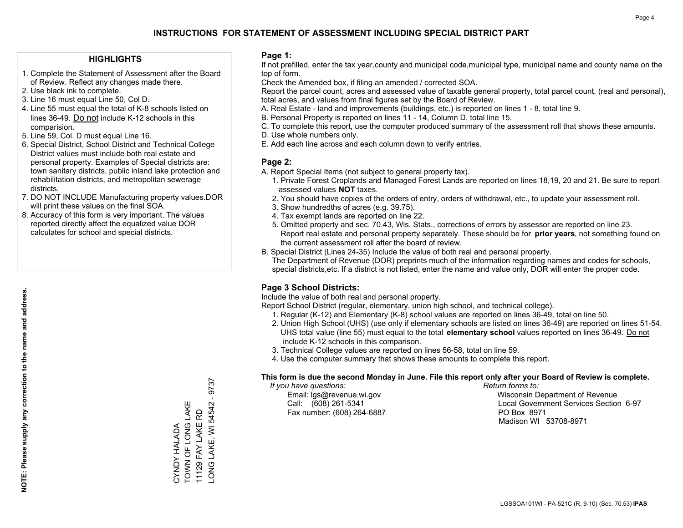#### **HIGHLIGHTS**

- 1. Complete the Statement of Assessment after the Board of Review. Reflect any changes made there.
- 2. Use black ink to complete.
- 3. Line 16 must equal Line 50, Col D.
- 4. Line 55 must equal the total of K-8 schools listed on lines 36-49. Do not include K-12 schools in this comparision.
- 5. Line 59, Col. D must equal Line 16.
- 6. Special District, School District and Technical College District values must include both real estate and personal property. Examples of Special districts are: town sanitary districts, public inland lake protection and rehabilitation districts, and metropolitan sewerage districts.
- 7. DO NOT INCLUDE Manufacturing property values.DOR will print these values on the final SOA.

CYNDY HALADA TOWN OF LONG LAKE 11129 FAY LAKE RD

**SYNDY HALADA** 

TOWN OF LONG LAKE 11129 FAY LAKE RD LONG LAKE, WI 54542 - 9737

-ONG LAKE, WI 54542 - 9737

 8. Accuracy of this form is very important. The values reported directly affect the equalized value DOR calculates for school and special districts.

#### **Page 1:**

 If not prefilled, enter the tax year,county and municipal code,municipal type, municipal name and county name on the top of form.

Check the Amended box, if filing an amended / corrected SOA.

 Report the parcel count, acres and assessed value of taxable general property, total parcel count, (real and personal), total acres, and values from final figures set by the Board of Review.

- A. Real Estate land and improvements (buildings, etc.) is reported on lines 1 8, total line 9.
- B. Personal Property is reported on lines 11 14, Column D, total line 15.
- C. To complete this report, use the computer produced summary of the assessment roll that shows these amounts.
- D. Use whole numbers only.
- E. Add each line across and each column down to verify entries.

### **Page 2:**

- A. Report Special Items (not subject to general property tax).
- 1. Private Forest Croplands and Managed Forest Lands are reported on lines 18,19, 20 and 21. Be sure to report assessed values **NOT** taxes.
- 2. You should have copies of the orders of entry, orders of withdrawal, etc., to update your assessment roll.
	- 3. Show hundredths of acres (e.g. 39.75).
- 4. Tax exempt lands are reported on line 22.
- 5. Omitted property and sec. 70.43, Wis. Stats., corrections of errors by assessor are reported on line 23. Report real estate and personal property separately. These should be for **prior years**, not something found on the current assessment roll after the board of review.
- B. Special District (Lines 24-35) Include the value of both real and personal property.
- The Department of Revenue (DOR) preprints much of the information regarding names and codes for schools, special districts,etc. If a district is not listed, enter the name and value only, DOR will enter the proper code.

### **Page 3 School Districts:**

Include the value of both real and personal property.

Report School District (regular, elementary, union high school, and technical college).

- 1. Regular (K-12) and Elementary (K-8) school values are reported on lines 36-49, total on line 50.
- 2. Union High School (UHS) (use only if elementary schools are listed on lines 36-49) are reported on lines 51-54. UHS total value (line 55) must equal to the total **elementary school** values reported on lines 36-49. Do notinclude K-12 schools in this comparison.
- 3. Technical College values are reported on lines 56-58, total on line 59.
- 4. Use the computer summary that shows these amounts to complete this report.

#### **This form is due the second Monday in June. File this report only after your Board of Review is complete.**

 *If you have questions: Return forms to:*

Fax number: (608) 264-6887 PO Box 8971

 Email: lgs@revenue.wi.gov Wisconsin Department of Revenue Call: (608) 261-5341 Local Government Services Section 6-97Madison WI 53708-8971

LGSSOA101WI - PA-521C (R. 9-10) (Sec. 70.53) **IPAS**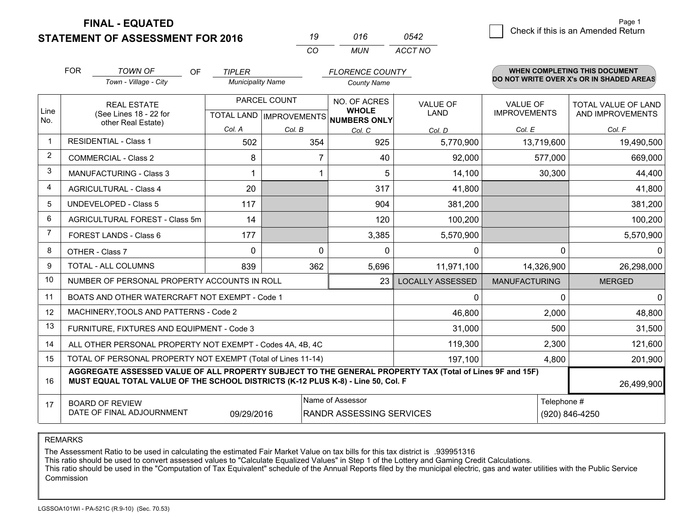**STATEMENT OF ASSESSMENT FOR 2016** 

|              | 016  | 0542    |
|--------------|------|---------|
| $\mathbf{r}$ | MUN. | ACCT NO |

|                | <b>FOR</b><br><b>TOWN OF</b><br><b>OF</b><br><b>FLORENCE COUNTY</b><br><b>TIPLER</b><br>Town - Village - City<br><b>Municipality Name</b><br><b>County Name</b>                              |          |              |                                                          | WHEN COMPLETING THIS DOCUMENT<br>DO NOT WRITE OVER X's OR IN SHADED AREAS |                      |                     |
|----------------|----------------------------------------------------------------------------------------------------------------------------------------------------------------------------------------------|----------|--------------|----------------------------------------------------------|---------------------------------------------------------------------------|----------------------|---------------------|
|                |                                                                                                                                                                                              |          |              |                                                          |                                                                           |                      |                     |
|                | <b>REAL ESTATE</b>                                                                                                                                                                           |          | PARCEL COUNT | NO. OF ACRES                                             | <b>VALUE OF</b>                                                           | <b>VALUE OF</b>      | TOTAL VALUE OF LAND |
| Line<br>No.    | (See Lines 18 - 22 for<br>other Real Estate)                                                                                                                                                 |          |              | <b>WHOLE</b><br>TOTAL LAND   IMPROVEMENTS   NUMBERS ONLY | <b>LAND</b>                                                               | <b>IMPROVEMENTS</b>  | AND IMPROVEMENTS    |
|                |                                                                                                                                                                                              | Col. A   | Col. B       | Col. C                                                   | Col. D                                                                    | Col. E               | Col. F              |
| -1             | <b>RESIDENTIAL - Class 1</b>                                                                                                                                                                 | 502      | 354          | 925                                                      | 5,770,900                                                                 | 13,719,600           | 19,490,500          |
| 2              | <b>COMMERCIAL - Class 2</b>                                                                                                                                                                  | 8        |              | 40                                                       | 92,000                                                                    | 577,000              | 669,000             |
| 3              | <b>MANUFACTURING - Class 3</b>                                                                                                                                                               |          |              | 5                                                        | 14,100                                                                    | 30,300               | 44,400              |
| 4              | <b>AGRICULTURAL - Class 4</b>                                                                                                                                                                | 20       |              | 317                                                      | 41,800                                                                    |                      | 41,800              |
| 5              | UNDEVELOPED - Class 5                                                                                                                                                                        | 117      |              | 904                                                      | 381,200                                                                   |                      | 381,200             |
| 6              | AGRICULTURAL FOREST - Class 5m                                                                                                                                                               | 14       |              | 120                                                      | 100,200                                                                   |                      | 100,200             |
| $\overline{7}$ | FOREST LANDS - Class 6                                                                                                                                                                       | 177      |              | 3,385                                                    | 5,570,900                                                                 |                      | 5,570,900           |
| 8              | OTHER - Class 7                                                                                                                                                                              | $\Omega$ | $\Omega$     | $\Omega$                                                 | $\Omega$                                                                  | $\Omega$             | $\Omega$            |
| 9              | TOTAL - ALL COLUMNS                                                                                                                                                                          | 839      | 362          | 5,696                                                    | 11,971,100                                                                | 14,326,900           | 26,298,000          |
| 10             | NUMBER OF PERSONAL PROPERTY ACCOUNTS IN ROLL                                                                                                                                                 |          |              | 23                                                       | <b>LOCALLY ASSESSED</b>                                                   | <b>MANUFACTURING</b> | <b>MERGED</b>       |
| 11             | BOATS AND OTHER WATERCRAFT NOT EXEMPT - Code 1                                                                                                                                               |          |              |                                                          | 0                                                                         | 0                    | 0                   |
| 12             | MACHINERY, TOOLS AND PATTERNS - Code 2                                                                                                                                                       |          |              |                                                          | 46,800                                                                    | 2,000                | 48,800              |
| 13             | FURNITURE, FIXTURES AND EQUIPMENT - Code 3                                                                                                                                                   |          |              |                                                          | 31,000                                                                    | 500                  | 31,500              |
| 14             | ALL OTHER PERSONAL PROPERTY NOT EXEMPT - Codes 4A, 4B, 4C                                                                                                                                    |          |              |                                                          | 119,300                                                                   | 2,300                | 121,600             |
| 15             | TOTAL OF PERSONAL PROPERTY NOT EXEMPT (Total of Lines 11-14)                                                                                                                                 | 4,800    | 201,900      |                                                          |                                                                           |                      |                     |
| 16             | AGGREGATE ASSESSED VALUE OF ALL PROPERTY SUBJECT TO THE GENERAL PROPERTY TAX (Total of Lines 9F and 15F)<br>MUST EQUAL TOTAL VALUE OF THE SCHOOL DISTRICTS (K-12 PLUS K-8) - Line 50, Col. F |          |              |                                                          |                                                                           |                      | 26,499,900          |
| 17             | Name of Assessor<br><b>BOARD OF REVIEW</b><br>DATE OF FINAL ADJOURNMENT<br><b>RANDR ASSESSING SERVICES</b><br>09/29/2016                                                                     |          |              |                                                          |                                                                           | Telephone #          | (920) 846-4250      |

REMARKS

The Assessment Ratio to be used in calculating the estimated Fair Market Value on tax bills for this tax district is .939951316

This ratio should be used to convert assessed values to "Calculate Equalized Values" in Step 1 of the Lottery and Gaming Credit Calculations.<br>This ratio should be used in the "Computation of Tax Equivalent" schedule of the **Commission**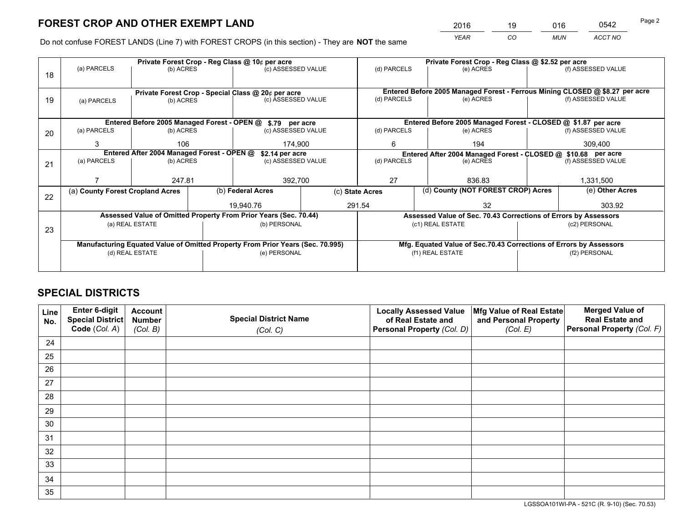*YEAR CO MUN ACCT NO* <sup>2016</sup> <sup>19</sup> <sup>016</sup> <sup>0542</sup>

Do not confuse FOREST LANDS (Line 7) with FOREST CROPS (in this section) - They are **NOT** the same

|    |                                                                                |                 |  | Private Forest Crop - Reg Class @ 10¢ per acre                   |                                                               | Private Forest Crop - Reg Class @ \$2.52 per acre     |                                                                              |                                                                 |                 |                    |
|----|--------------------------------------------------------------------------------|-----------------|--|------------------------------------------------------------------|---------------------------------------------------------------|-------------------------------------------------------|------------------------------------------------------------------------------|-----------------------------------------------------------------|-----------------|--------------------|
| 18 | (a) PARCELS                                                                    | (b) ACRES       |  | (c) ASSESSED VALUE                                               |                                                               | (d) PARCELS                                           |                                                                              | (e) ACRES                                                       |                 | (f) ASSESSED VALUE |
|    |                                                                                |                 |  |                                                                  |                                                               |                                                       |                                                                              |                                                                 |                 |                    |
|    | Private Forest Crop - Special Class @ 20¢ per acre                             |                 |  |                                                                  |                                                               |                                                       | Entered Before 2005 Managed Forest - Ferrous Mining CLOSED @ \$8.27 per acre |                                                                 |                 |                    |
| 19 | (a) PARCELS                                                                    | (b) ACRES       |  | (c) ASSESSED VALUE                                               |                                                               | (d) PARCELS                                           |                                                                              | (e) ACRES                                                       |                 | (f) ASSESSED VALUE |
|    |                                                                                |                 |  |                                                                  |                                                               |                                                       |                                                                              |                                                                 |                 |                    |
|    |                                                                                |                 |  | Entered Before 2005 Managed Forest - OPEN @ \$.79 per acre       |                                                               |                                                       |                                                                              | Entered Before 2005 Managed Forest - CLOSED @ \$1.87 per acre   |                 |                    |
| 20 | (a) PARCELS                                                                    | (b) ACRES       |  | (c) ASSESSED VALUE                                               |                                                               | (d) PARCELS                                           |                                                                              | (e) ACRES                                                       |                 | (f) ASSESSED VALUE |
|    | 3                                                                              | 106<br>174,900  |  | 194<br>6                                                         |                                                               | 309,400                                               |                                                                              |                                                                 |                 |                    |
|    | Entered After 2004 Managed Forest - OPEN @<br>\$2.14 per acre                  |                 |  |                                                                  | Entered After 2004 Managed Forest - CLOSED @ \$10.68 per acre |                                                       |                                                                              |                                                                 |                 |                    |
| 21 | (a) PARCELS                                                                    | (b) ACRES       |  | (c) ASSESSED VALUE                                               |                                                               | (d) PARCELS                                           |                                                                              | (e) ACRES                                                       |                 | (f) ASSESSED VALUE |
|    |                                                                                |                 |  |                                                                  |                                                               |                                                       |                                                                              |                                                                 |                 |                    |
|    |                                                                                | 247.81          |  |                                                                  | 27<br>392,700                                                 |                                                       |                                                                              | 836.83                                                          |                 | 1,331,500          |
|    | (a) County Forest Cropland Acres                                               |                 |  | (b) Federal Acres                                                |                                                               | (d) County (NOT FOREST CROP) Acres<br>(c) State Acres |                                                                              |                                                                 | (e) Other Acres |                    |
| 22 |                                                                                |                 |  | 19.940.76                                                        |                                                               | 291.54<br>32                                          |                                                                              |                                                                 | 303.92          |                    |
|    |                                                                                |                 |  |                                                                  |                                                               |                                                       |                                                                              |                                                                 |                 |                    |
|    |                                                                                |                 |  | Assessed Value of Omitted Property From Prior Years (Sec. 70.44) |                                                               |                                                       |                                                                              | Assessed Value of Sec. 70.43 Corrections of Errors by Assessors |                 |                    |
| 23 |                                                                                | (a) REAL ESTATE |  | (b) PERSONAL                                                     |                                                               |                                                       |                                                                              | (c1) REAL ESTATE                                                |                 | (c2) PERSONAL      |
|    |                                                                                |                 |  |                                                                  |                                                               |                                                       |                                                                              |                                                                 |                 |                    |
|    | Manufacturing Equated Value of Omitted Property From Prior Years (Sec. 70.995) |                 |  |                                                                  |                                                               |                                                       | Mfg. Equated Value of Sec.70.43 Corrections of Errors by Assessors           |                                                                 |                 |                    |
|    |                                                                                | (d) REAL ESTATE |  | (e) PERSONAL                                                     |                                                               |                                                       |                                                                              | (f1) REAL ESTATE                                                | (f2) PERSONAL   |                    |
|    |                                                                                |                 |  |                                                                  |                                                               |                                                       |                                                                              |                                                                 |                 |                    |

# **SPECIAL DISTRICTS**

| Line<br>No. | Enter 6-digit<br>Special District<br>Code (Col. A) | <b>Account</b><br><b>Number</b> | <b>Special District Name</b> | <b>Locally Assessed Value</b><br>of Real Estate and | Mfg Value of Real Estate<br>and Personal Property | <b>Merged Value of</b><br><b>Real Estate and</b><br>Personal Property (Col. F) |
|-------------|----------------------------------------------------|---------------------------------|------------------------------|-----------------------------------------------------|---------------------------------------------------|--------------------------------------------------------------------------------|
|             |                                                    | (Col. B)                        | (Col. C)                     | Personal Property (Col. D)                          | (Col. E)                                          |                                                                                |
| 24          |                                                    |                                 |                              |                                                     |                                                   |                                                                                |
| 25          |                                                    |                                 |                              |                                                     |                                                   |                                                                                |
| 26          |                                                    |                                 |                              |                                                     |                                                   |                                                                                |
| 27          |                                                    |                                 |                              |                                                     |                                                   |                                                                                |
| 28          |                                                    |                                 |                              |                                                     |                                                   |                                                                                |
| 29          |                                                    |                                 |                              |                                                     |                                                   |                                                                                |
| 30          |                                                    |                                 |                              |                                                     |                                                   |                                                                                |
| 31          |                                                    |                                 |                              |                                                     |                                                   |                                                                                |
| 32          |                                                    |                                 |                              |                                                     |                                                   |                                                                                |
| 33          |                                                    |                                 |                              |                                                     |                                                   |                                                                                |
| 34          |                                                    |                                 |                              |                                                     |                                                   |                                                                                |
| 35          |                                                    |                                 |                              |                                                     |                                                   |                                                                                |

LGSSOA101WI-PA - 521C (R. 9-10) (Sec. 70.53)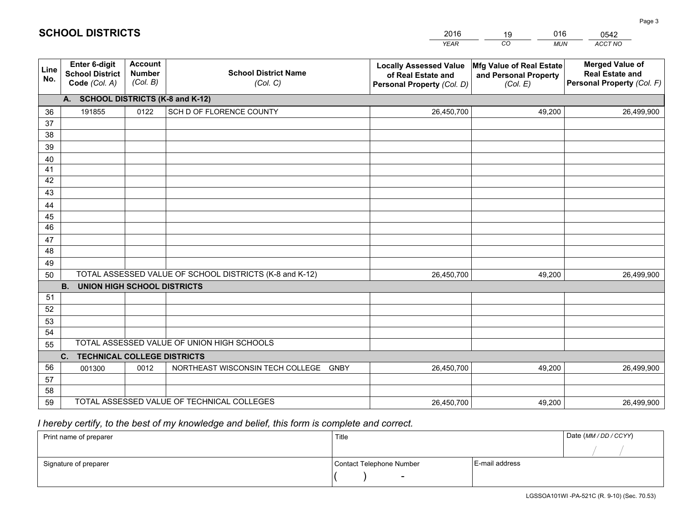|             |                                                                 |                                             |                                                         | <b>YEAR</b>                                                                       | CO<br><b>MUN</b>                                              | <b>ACCT NO</b>                                                                 |
|-------------|-----------------------------------------------------------------|---------------------------------------------|---------------------------------------------------------|-----------------------------------------------------------------------------------|---------------------------------------------------------------|--------------------------------------------------------------------------------|
| Line<br>No. | <b>Enter 6-digit</b><br><b>School District</b><br>Code (Col. A) | <b>Account</b><br><b>Number</b><br>(Col. B) | <b>School District Name</b><br>(Col. C)                 | <b>Locally Assessed Value</b><br>of Real Estate and<br>Personal Property (Col. D) | Mfg Value of Real Estate<br>and Personal Property<br>(Col. E) | <b>Merged Value of</b><br><b>Real Estate and</b><br>Personal Property (Col. F) |
|             | A. SCHOOL DISTRICTS (K-8 and K-12)                              |                                             |                                                         |                                                                                   |                                                               |                                                                                |
| 36          | 191855                                                          | 0122                                        | SCH D OF FLORENCE COUNTY                                | 26,450,700                                                                        | 49,200                                                        | 26,499,900                                                                     |
| 37          |                                                                 |                                             |                                                         |                                                                                   |                                                               |                                                                                |
| 38          |                                                                 |                                             |                                                         |                                                                                   |                                                               |                                                                                |
| 39          |                                                                 |                                             |                                                         |                                                                                   |                                                               |                                                                                |
| 40          |                                                                 |                                             |                                                         |                                                                                   |                                                               |                                                                                |
| 41          |                                                                 |                                             |                                                         |                                                                                   |                                                               |                                                                                |
| 42          |                                                                 |                                             |                                                         |                                                                                   |                                                               |                                                                                |
| 43          |                                                                 |                                             |                                                         |                                                                                   |                                                               |                                                                                |
| 44<br>45    |                                                                 |                                             |                                                         |                                                                                   |                                                               |                                                                                |
| 46          |                                                                 |                                             |                                                         |                                                                                   |                                                               |                                                                                |
| 47          |                                                                 |                                             |                                                         |                                                                                   |                                                               |                                                                                |
| 48          |                                                                 |                                             |                                                         |                                                                                   |                                                               |                                                                                |
| 49          |                                                                 |                                             |                                                         |                                                                                   |                                                               |                                                                                |
| 50          |                                                                 |                                             | TOTAL ASSESSED VALUE OF SCHOOL DISTRICTS (K-8 and K-12) | 26,450,700                                                                        | 49,200                                                        | 26,499,900                                                                     |
|             | <b>B.</b><br><b>UNION HIGH SCHOOL DISTRICTS</b>                 |                                             |                                                         |                                                                                   |                                                               |                                                                                |
| 51          |                                                                 |                                             |                                                         |                                                                                   |                                                               |                                                                                |
| 52          |                                                                 |                                             |                                                         |                                                                                   |                                                               |                                                                                |
| 53          |                                                                 |                                             |                                                         |                                                                                   |                                                               |                                                                                |
| 54          |                                                                 |                                             |                                                         |                                                                                   |                                                               |                                                                                |
| 55          |                                                                 |                                             | TOTAL ASSESSED VALUE OF UNION HIGH SCHOOLS              |                                                                                   |                                                               |                                                                                |
|             | C.<br><b>TECHNICAL COLLEGE DISTRICTS</b>                        |                                             |                                                         |                                                                                   |                                                               |                                                                                |
| 56          | 001300                                                          | 0012                                        | NORTHEAST WISCONSIN TECH COLLEGE<br><b>GNBY</b>         | 26,450,700                                                                        | 49,200                                                        | 26,499,900                                                                     |
| 57          |                                                                 |                                             |                                                         |                                                                                   |                                                               |                                                                                |
| 58          |                                                                 |                                             | TOTAL ASSESSED VALUE OF TECHNICAL COLLEGES              |                                                                                   |                                                               |                                                                                |
| 59          |                                                                 |                                             |                                                         | 26,450,700                                                                        | 49,200                                                        | 26,499,900                                                                     |

2016

19

016

 *I hereby certify, to the best of my knowledge and belief, this form is complete and correct.*

**SCHOOL DISTRICTS**

| Print name of preparer | Title                    |                | Date (MM / DD / CCYY) |
|------------------------|--------------------------|----------------|-----------------------|
|                        |                          |                |                       |
| Signature of preparer  | Contact Telephone Number | E-mail address |                       |
|                        | $\sim$                   |                |                       |

0542